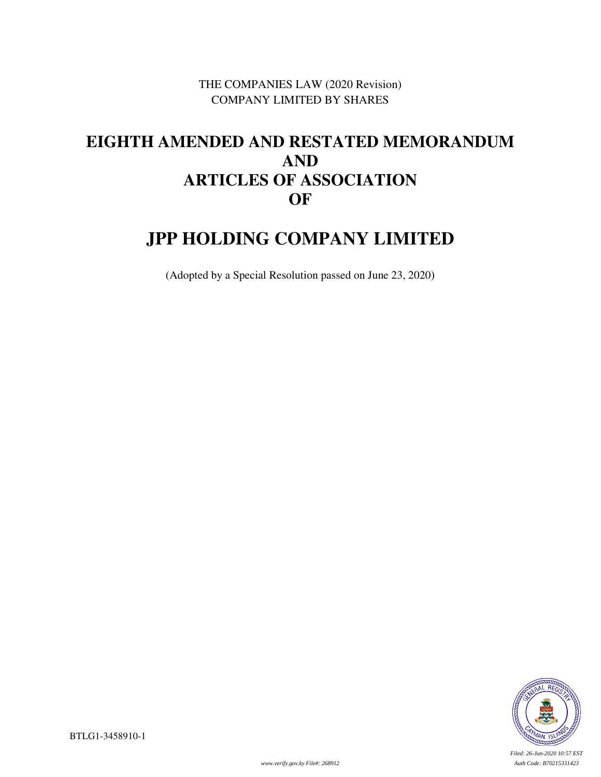THE COMPANIES LAW (2020 Revision) COMPANY LIMITED BY SHARES

# **EIGHTH AMENDED AND RESTATED MEMORANDUM AND ARTICLES OF ASSOCIATION OF**

# **JPP HOLDING COMPANY LIMITED**

(Adopted by a Special Resolution passed on June 23, 2020)



*Filed: 26-Jun-2020 10:57 EST*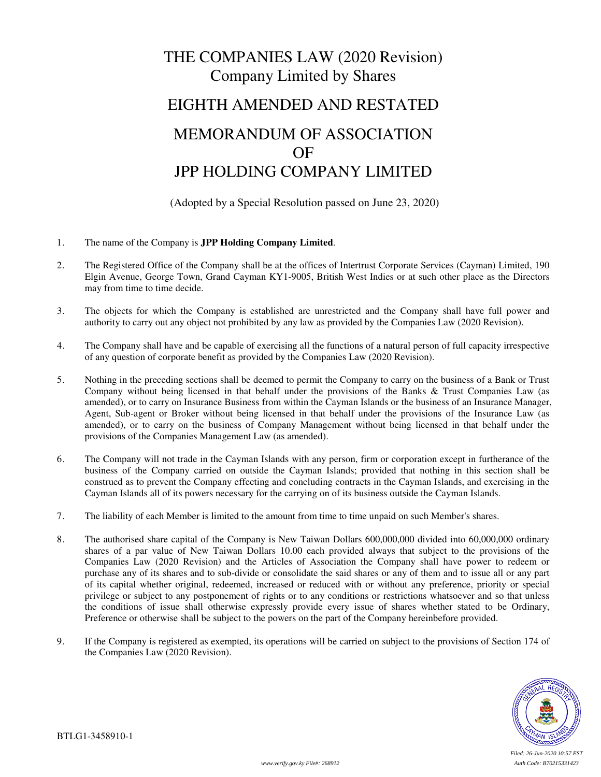# THE COMPANIES LAW (2020 Revision) Company Limited by Shares EIGHTH AMENDED AND RESTATED

# MEMORANDUM OF ASSOCIATION OF JPP HOLDING COMPANY LIMITED

(Adopted by a Special Resolution passed on June 23, 2020)

- 1. The name of the Company is **JPP Holding Company Limited**.
- 2. The Registered Office of the Company shall be at the offices of Intertrust Corporate Services (Cayman) Limited, 190 Elgin Avenue, George Town, Grand Cayman KY1-9005, British West Indies or at such other place as the Directors may from time to time decide.
- 3. The objects for which the Company is established are unrestricted and the Company shall have full power and authority to carry out any object not prohibited by any law as provided by the Companies Law (2020 Revision).
- 4. The Company shall have and be capable of exercising all the functions of a natural person of full capacity irrespective of any question of corporate benefit as provided by the Companies Law (2020 Revision).
- 5. Nothing in the preceding sections shall be deemed to permit the Company to carry on the business of a Bank or Trust Company without being licensed in that behalf under the provisions of the Banks & Trust Companies Law (as amended), or to carry on Insurance Business from within the Cayman Islands or the business of an Insurance Manager, Agent, Sub-agent or Broker without being licensed in that behalf under the provisions of the Insurance Law (as amended), or to carry on the business of Company Management without being licensed in that behalf under the provisions of the Companies Management Law (as amended).
- 6. The Company will not trade in the Cayman Islands with any person, firm or corporation except in furtherance of the business of the Company carried on outside the Cayman Islands; provided that nothing in this section shall be construed as to prevent the Company effecting and concluding contracts in the Cayman Islands, and exercising in the Cayman Islands all of its powers necessary for the carrying on of its business outside the Cayman Islands.
- 7. The liability of each Member is limited to the amount from time to time unpaid on such Member's shares.
- 8. The authorised share capital of the Company is New Taiwan Dollars 600,000,000 divided into 60,000,000 ordinary shares of a par value of New Taiwan Dollars 10.00 each provided always that subject to the provisions of the Companies Law (2020 Revision) and the Articles of Association the Company shall have power to redeem or purchase any of its shares and to sub-divide or consolidate the said shares or any of them and to issue all or any part of its capital whether original, redeemed, increased or reduced with or without any preference, priority or special privilege or subject to any postponement of rights or to any conditions or restrictions whatsoever and so that unless the conditions of issue shall otherwise expressly provide every issue of shares whether stated to be Ordinary, Preference or otherwise shall be subject to the powers on the part of the Company hereinbefore provided.
- 9. If the Company is registered as exempted, its operations will be carried on subject to the provisions of Section 174 of the Companies Law (2020 Revision).

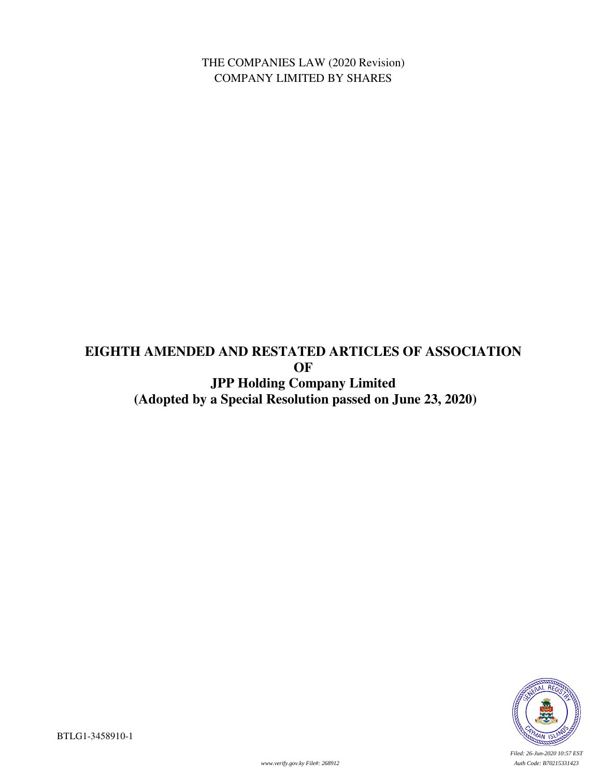THE COMPANIES LAW (2020 Revision) COMPANY LIMITED BY SHARES

# **EIGHTH AMENDED AND RESTATED ARTICLES OF ASSOCIATION OF JPP Holding Company Limited (Adopted by a Special Resolution passed on June 23, 2020)**



*Filed: 26-Jun-2020 10:57 EST*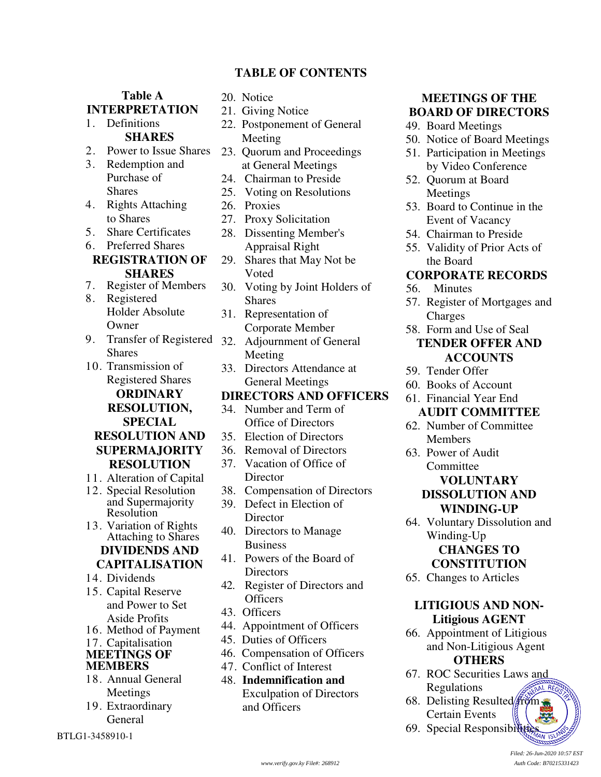# **TABLE OF CONTENTS**

**Table A INTERPRETATION**  1. Definitions **SHARES**  2. Power to Issue Shares 3. Redemption and Purchase of **Shares** 4. Rights Attaching to Shares 5. Share Certificates 6. Preferred Shares **REGISTRATION OF SHARES** 7. Register of Members 8. Registered Holder Absolute Owner 9. Transfer of Registered Shares 10. Transmission of Registered Shares **ORDINARY RESOLUTION, SPECIAL RESOLUTION AND SUPERMAJORITY RESOLUTION**  11. Alteration of Capital 12. Special Resolution and Supermajority Resolution 13. Variation of Rights Attaching to Shares **DIVIDENDS AND CAPITALISATION**  14. Dividends 15. Capital Reserve and Power to Set Aside Profits 16. Method of Payment 17. Capitalisation **MEETINGS OF MEMBERS** 18. Annual General Meetings 19. Extraordinary General

BTLG1-3458910-1

#### 20. Notice

- 21. Giving Notice
- 22. Postponement of General Meeting
- 23. Quorum and Proceedings at General Meetings
- 24. Chairman to Preside
- 25. Voting on Resolutions
- 26. Proxies
- 27. Proxy Solicitation
- 28. Dissenting Member's Appraisal Right
- 29. Shares that May Not be Voted
- 30. Voting by Joint Holders of Shares
- 31. Representation of Corporate Member
- 32. Adjournment of General Meeting
- 33. Directors Attendance at General Meetings

#### **DIRECTORS AND OFFICERS**

- 34. Number and Term of Office of Directors
- 35. Election of Directors
- 36. Removal of Directors
- 37. Vacation of Office of **Director**
- 38. Compensation of Directors
- 39. Defect in Election of **Director**
- 40. Directors to Manage Business
- 41. Powers of the Board of **Directors**
- 42. Register of Directors and **Officers**
- 43. Officers
- 44. Appointment of Officers
- 45. Duties of Officers
- 46. Compensation of Officers
- 47. Conflict of Interest
- 48. **Indemnification and**  Exculpation of Directors and Officers

# **MEETINGS OF THE BOARD OF DIRECTORS**

- 49. Board Meetings
- 50. Notice of Board Meetings
- 51. Participation in Meetings by Video Conference
- 52. Quorum at Board Meetings
- 53. Board to Continue in the Event of Vacancy
- 54. Chairman to Preside
- 55. Validity of Prior Acts of the Board

#### **CORPORATE RECORDS**

- 56. Minutes
- 57. Register of Mortgages and Charges
- 58. Form and Use of Seal

# **TENDER OFFER AND ACCOUNTS**

- 59. Tender Offer
- 60. Books of Account
- 61. Financial Year End
- **AUDIT COMMITTEE**  62. Number of Committee
- Members
- 63. Power of Audit **Committee**

# **VOLUNTARY DISSOLUTION AND WINDING-UP**

- 64. Voluntary Dissolution and Winding-Up **CHANGES TO CONSTITUTION**
- 65. Changes to Articles

#### **LITIGIOUS AND NON-Litigious AGENT**

- 66. Appointment of Litigious and Non-Litigious Agent **OTHERS**
- 67. ROC Securities Laws and Regulations AL REG
- 68. Delisting Resulted  $\lim_{x \to 0}$ Certain Events
- 69. Special Responsibilities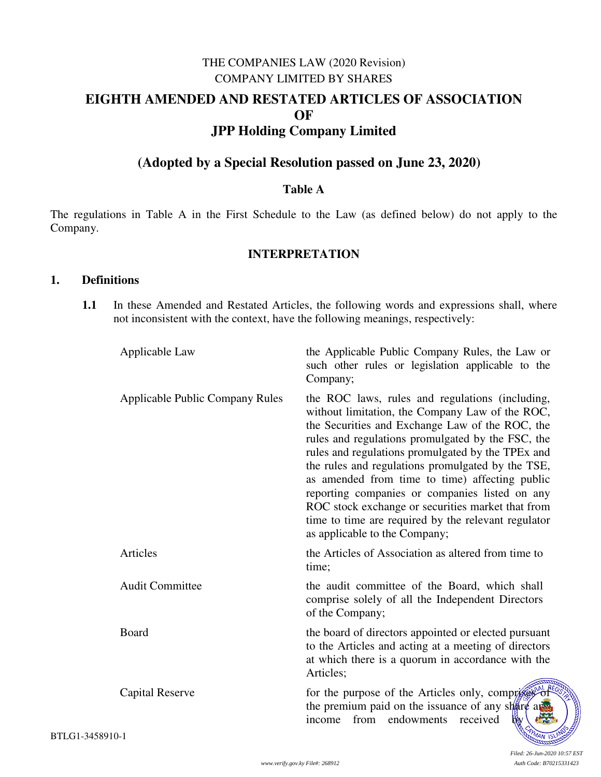# THE COMPANIES LAW (2020 Revision) COMPANY LIMITED BY SHARES **EIGHTH AMENDED AND RESTATED ARTICLES OF ASSOCIATION OF JPP Holding Company Limited**

# **(Adopted by a Special Resolution passed on June 23, 2020)**

#### **Table A**

The regulations in Table A in the First Schedule to the Law (as defined below) do not apply to the Company.

#### **INTERPRETATION**

#### **1. Definitions**

**1.1** In these Amended and Restated Articles, the following words and expressions shall, where not inconsistent with the context, have the following meanings, respectively:

| Applicable Law                         | the Applicable Public Company Rules, the Law or<br>such other rules or legislation applicable to the<br>Company;                                                                                                                                                                                                                                                                                                                                                                                                                                                      |
|----------------------------------------|-----------------------------------------------------------------------------------------------------------------------------------------------------------------------------------------------------------------------------------------------------------------------------------------------------------------------------------------------------------------------------------------------------------------------------------------------------------------------------------------------------------------------------------------------------------------------|
| <b>Applicable Public Company Rules</b> | the ROC laws, rules and regulations (including,<br>without limitation, the Company Law of the ROC,<br>the Securities and Exchange Law of the ROC, the<br>rules and regulations promulgated by the FSC, the<br>rules and regulations promulgated by the TPEx and<br>the rules and regulations promulgated by the TSE,<br>as amended from time to time) affecting public<br>reporting companies or companies listed on any<br>ROC stock exchange or securities market that from<br>time to time are required by the relevant regulator<br>as applicable to the Company; |
| Articles                               | the Articles of Association as altered from time to<br>time;                                                                                                                                                                                                                                                                                                                                                                                                                                                                                                          |
| <b>Audit Committee</b>                 | the audit committee of the Board, which shall<br>comprise solely of all the Independent Directors<br>of the Company;                                                                                                                                                                                                                                                                                                                                                                                                                                                  |
| Board                                  | the board of directors appointed or elected pursuant<br>to the Articles and acting at a meeting of directors<br>at which there is a quorum in accordance with the<br>Articles;                                                                                                                                                                                                                                                                                                                                                                                        |
| <b>Capital Reserve</b>                 | for the purpose of the Articles only, comprises of<br>the premium paid on the issuance of any share a<br>from<br>income<br>endowments<br>received<br>w                                                                                                                                                                                                                                                                                                                                                                                                                |
| $10-1$                                 | MAN ISLP                                                                                                                                                                                                                                                                                                                                                                                                                                                                                                                                                              |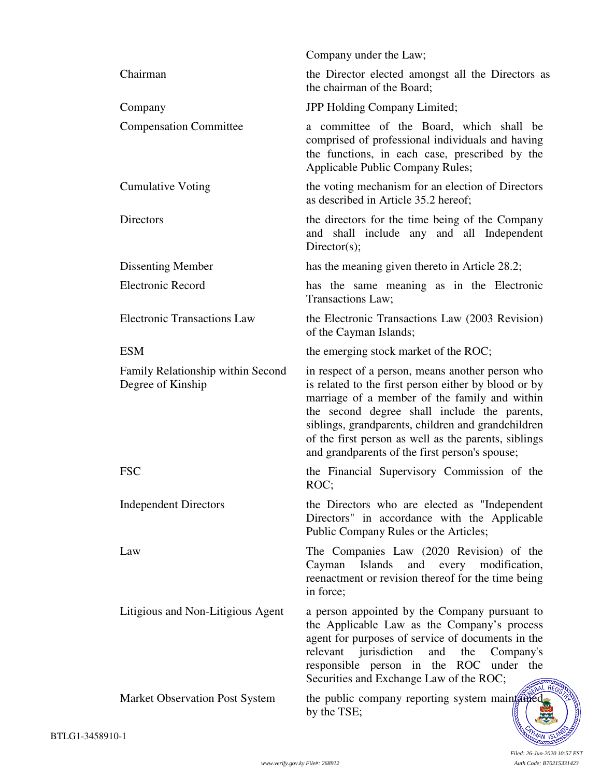|                                                        | Company under the Law;                                                                                                                                                                                                                                                                                                                                                    |
|--------------------------------------------------------|---------------------------------------------------------------------------------------------------------------------------------------------------------------------------------------------------------------------------------------------------------------------------------------------------------------------------------------------------------------------------|
| Chairman                                               | the Director elected amongst all the Directors as<br>the chairman of the Board;                                                                                                                                                                                                                                                                                           |
| Company                                                | JPP Holding Company Limited;                                                                                                                                                                                                                                                                                                                                              |
| <b>Compensation Committee</b>                          | a committee of the Board, which shall be<br>comprised of professional individuals and having<br>the functions, in each case, prescribed by the<br><b>Applicable Public Company Rules;</b>                                                                                                                                                                                 |
| <b>Cumulative Voting</b>                               | the voting mechanism for an election of Directors<br>as described in Article 35.2 hereof;                                                                                                                                                                                                                                                                                 |
| Directors                                              | the directors for the time being of the Company<br>and shall include any and all Independent<br>Directory(s);                                                                                                                                                                                                                                                             |
| Dissenting Member                                      | has the meaning given thereto in Article 28.2;                                                                                                                                                                                                                                                                                                                            |
| <b>Electronic Record</b>                               | has the same meaning as in the Electronic<br>Transactions Law;                                                                                                                                                                                                                                                                                                            |
| <b>Electronic Transactions Law</b>                     | the Electronic Transactions Law (2003 Revision)<br>of the Cayman Islands;                                                                                                                                                                                                                                                                                                 |
| <b>ESM</b>                                             | the emerging stock market of the ROC;                                                                                                                                                                                                                                                                                                                                     |
| Family Relationship within Second<br>Degree of Kinship | in respect of a person, means another person who<br>is related to the first person either by blood or by<br>marriage of a member of the family and within<br>the second degree shall include the parents,<br>siblings, grandparents, children and grandchildren<br>of the first person as well as the parents, siblings<br>and grandparents of the first person's spouse; |
| <b>FSC</b>                                             | the Financial Supervisory Commission of the<br>ROC;                                                                                                                                                                                                                                                                                                                       |
| <b>Independent Directors</b>                           | the Directors who are elected as "Independent"<br>Directors" in accordance with the Applicable<br>Public Company Rules or the Articles;                                                                                                                                                                                                                                   |
| Law                                                    | The Companies Law (2020 Revision) of the<br>Cayman Islands and every modification,<br>reenactment or revision thereof for the time being<br>in force;                                                                                                                                                                                                                     |
| Litigious and Non-Litigious Agent                      | a person appointed by the Company pursuant to<br>the Applicable Law as the Company's process<br>agent for purposes of service of documents in the<br>relevant jurisdiction<br>and<br>the<br>Company's<br>responsible person in the ROC under the<br>Securities and Exchange Law of the ROC;                                                                               |
| <b>Market Observation Post System</b>                  | the public company reporting system maintained<br>by the TSE;                                                                                                                                                                                                                                                                                                             |
| $10-1$                                                 |                                                                                                                                                                                                                                                                                                                                                                           |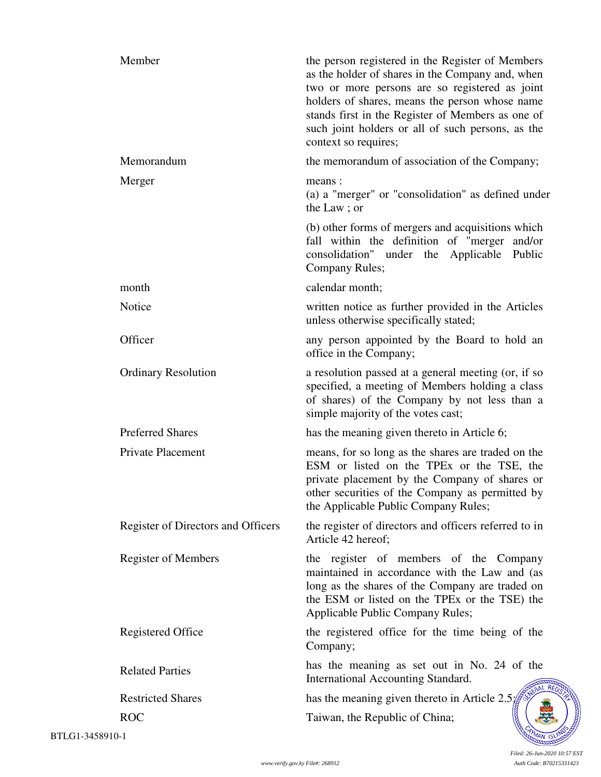| Member                             | the person registered in the Register of Members<br>as the holder of shares in the Company and, when<br>two or more persons are so registered as joint<br>holders of shares, means the person whose name<br>stands first in the Register of Members as one of<br>such joint holders or all of such persons, as the<br>context so requires; |
|------------------------------------|--------------------------------------------------------------------------------------------------------------------------------------------------------------------------------------------------------------------------------------------------------------------------------------------------------------------------------------------|
| Memorandum                         | the memorandum of association of the Company;                                                                                                                                                                                                                                                                                              |
| Merger                             | means:<br>(a) a "merger" or "consolidation" as defined under<br>the Law; or                                                                                                                                                                                                                                                                |
|                                    | (b) other forms of mergers and acquisitions which<br>fall within the definition of "merger and/or<br>consolidation" under the Applicable Public<br>Company Rules;                                                                                                                                                                          |
| month                              | calendar month;                                                                                                                                                                                                                                                                                                                            |
| Notice                             | written notice as further provided in the Articles<br>unless otherwise specifically stated;                                                                                                                                                                                                                                                |
| Officer                            | any person appointed by the Board to hold an<br>office in the Company;                                                                                                                                                                                                                                                                     |
| <b>Ordinary Resolution</b>         | a resolution passed at a general meeting (or, if so<br>specified, a meeting of Members holding a class<br>of shares) of the Company by not less than a<br>simple majority of the votes cast;                                                                                                                                               |
| <b>Preferred Shares</b>            | has the meaning given thereto in Article 6;                                                                                                                                                                                                                                                                                                |
| Private Placement                  | means, for so long as the shares are traded on the<br>ESM or listed on the TPEx or the TSE, the<br>private placement by the Company of shares or<br>other securities of the Company as permitted by<br>the Applicable Public Company Rules;                                                                                                |
| Register of Directors and Officers | the register of directors and officers referred to in<br>Article 42 hereof;                                                                                                                                                                                                                                                                |
| <b>Register of Members</b>         | the register of members of the Company<br>maintained in accordance with the Law and (as<br>long as the shares of the Company are traded on<br>the ESM or listed on the TPEx or the TSE) the<br>Applicable Public Company Rules;                                                                                                            |
| <b>Registered Office</b>           | the registered office for the time being of the<br>Company;                                                                                                                                                                                                                                                                                |
| <b>Related Parties</b>             | has the meaning as set out in No. 24 of the<br>International Accounting Standard.                                                                                                                                                                                                                                                          |
| <b>Restricted Shares</b>           | has the meaning given thereto in Article $2.5$ .                                                                                                                                                                                                                                                                                           |
| <b>ROC</b><br>$0 - 1$              | Taiwan, the Republic of China;                                                                                                                                                                                                                                                                                                             |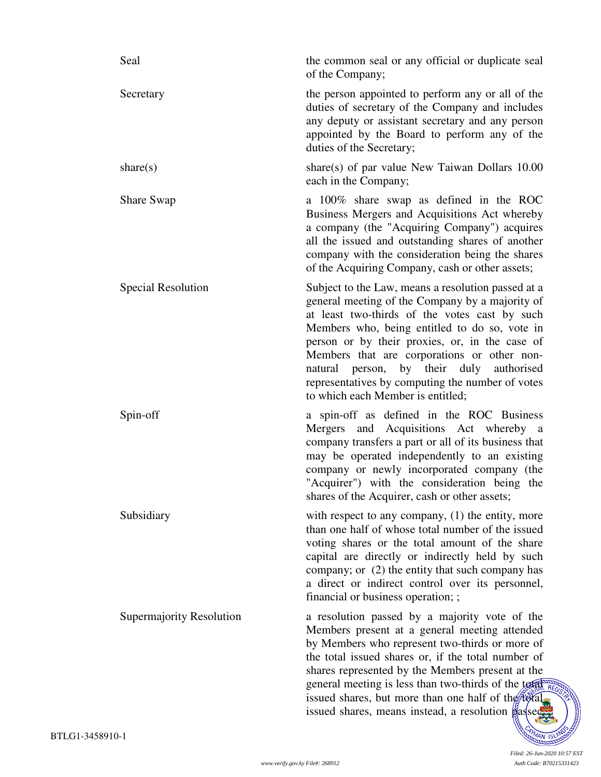| Seal                      | the common seal or any official or duplicate seal<br>of the Company;                                                                                                                                                                                                                                                                                                                                                                          |
|---------------------------|-----------------------------------------------------------------------------------------------------------------------------------------------------------------------------------------------------------------------------------------------------------------------------------------------------------------------------------------------------------------------------------------------------------------------------------------------|
| Secretary                 | the person appointed to perform any or all of the<br>duties of secretary of the Company and includes<br>any deputy or assistant secretary and any person<br>appointed by the Board to perform any of the<br>duties of the Secretary;                                                                                                                                                                                                          |
| share $(s)$               | share(s) of par value New Taiwan Dollars 10.00<br>each in the Company;                                                                                                                                                                                                                                                                                                                                                                        |
| <b>Share Swap</b>         | a 100% share swap as defined in the ROC<br>Business Mergers and Acquisitions Act whereby<br>a company (the "Acquiring Company") acquires<br>all the issued and outstanding shares of another<br>company with the consideration being the shares<br>of the Acquiring Company, cash or other assets;                                                                                                                                            |
| <b>Special Resolution</b> | Subject to the Law, means a resolution passed at a<br>general meeting of the Company by a majority of<br>at least two-thirds of the votes cast by such<br>Members who, being entitled to do so, vote in<br>person or by their proxies, or, in the case of<br>Members that are corporations or other non-<br>natural person, by their duly authorised<br>representatives by computing the number of votes<br>to which each Member is entitled; |
| Spin-off                  | a spin-off as defined in the ROC Business<br>Mergers and Acquisitions Act whereby a<br>company transfers a part or all of its business that<br>may be operated independently to an existing<br>company or newly incorporated company (the<br>"Acquirer") with the consideration being the<br>shares of the Acquirer, cash or other assets;                                                                                                    |
| Subsidiary                | with respect to any company, $(1)$ the entity, more<br>than one half of whose total number of the issued<br>voting shares or the total amount of the share<br>capital are directly or indirectly held by such<br>company; or (2) the entity that such company has<br>a direct or indirect control over its personnel,<br>financial or business operation; ;                                                                                   |
| Supermajority Resolution  | a resolution passed by a majority vote of the<br>Members present at a general meeting attended<br>by Members who represent two-thirds or more of<br>the total issued shares or, if the total number of<br>shares represented by the Members present at the<br>general meeting is less than two-thirds of the total RE<br>issued shares, but more than one half of the total<br>issued shares, means instead, a resolution passed              |
| 10-1                      |                                                                                                                                                                                                                                                                                                                                                                                                                                               |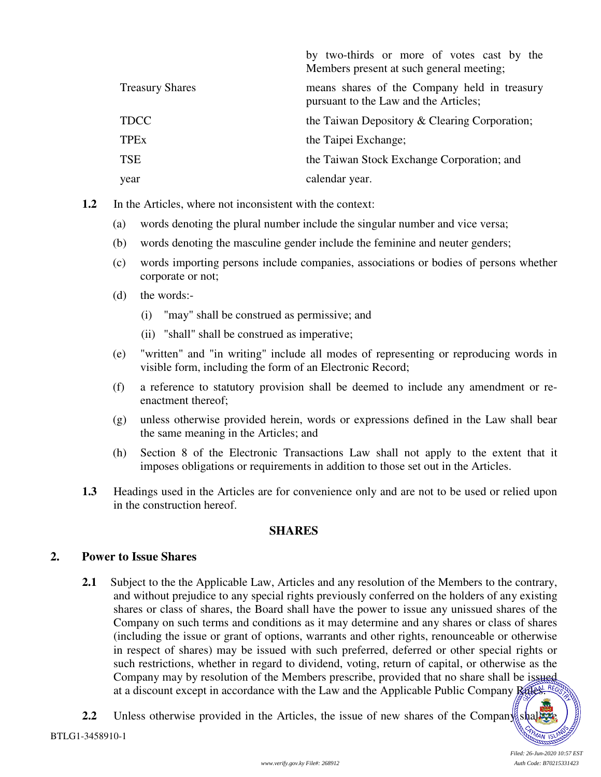|                        | by two-thirds or more of votes cast by the<br>Members present at such general meeting; |
|------------------------|----------------------------------------------------------------------------------------|
| <b>Treasury Shares</b> | means shares of the Company held in treasury<br>pursuant to the Law and the Articles;  |
| <b>TDCC</b>            | the Taiwan Depository & Clearing Corporation;                                          |
| <b>TPEx</b>            | the Taipei Exchange;                                                                   |
| <b>TSE</b>             | the Taiwan Stock Exchange Corporation; and                                             |
| year                   | calendar year.                                                                         |

**1.2** In the Articles, where not inconsistent with the context:

- (a) words denoting the plural number include the singular number and vice versa;
- (b) words denoting the masculine gender include the feminine and neuter genders;
- (c) words importing persons include companies, associations or bodies of persons whether corporate or not;
- (d) the words:-
	- (i) "may" shall be construed as permissive; and
	- (ii) "shall" shall be construed as imperative;
- (e) "written" and "in writing" include all modes of representing or reproducing words in visible form, including the form of an Electronic Record;
- (f) a reference to statutory provision shall be deemed to include any amendment or reenactment thereof;
- (g) unless otherwise provided herein, words or expressions defined in the Law shall bear the same meaning in the Articles; and
- (h) Section 8 of the Electronic Transactions Law shall not apply to the extent that it imposes obligations or requirements in addition to those set out in the Articles.
- **1.3** Headings used in the Articles are for convenience only and are not to be used or relied upon in the construction hereof.

# **SHARES**

# **2. Power to Issue Shares**

- **2.1** Subject to the the Applicable Law, Articles and any resolution of the Members to the contrary, and without prejudice to any special rights previously conferred on the holders of any existing shares or class of shares, the Board shall have the power to issue any unissued shares of the Company on such terms and conditions as it may determine and any shares or class of shares (including the issue or grant of options, warrants and other rights, renounceable or otherwise in respect of shares) may be issued with such preferred, deferred or other special rights or such restrictions, whether in regard to dividend, voting, return of capital, or otherwise as the Company may by resolution of the Members prescribe, provided that no share shall be issued at a discount except in accordance with the Law and the Applicable Public Company Rules. Reg
- **2.2** Unless otherwise provided in the Articles, the issue of new shares of the Company shall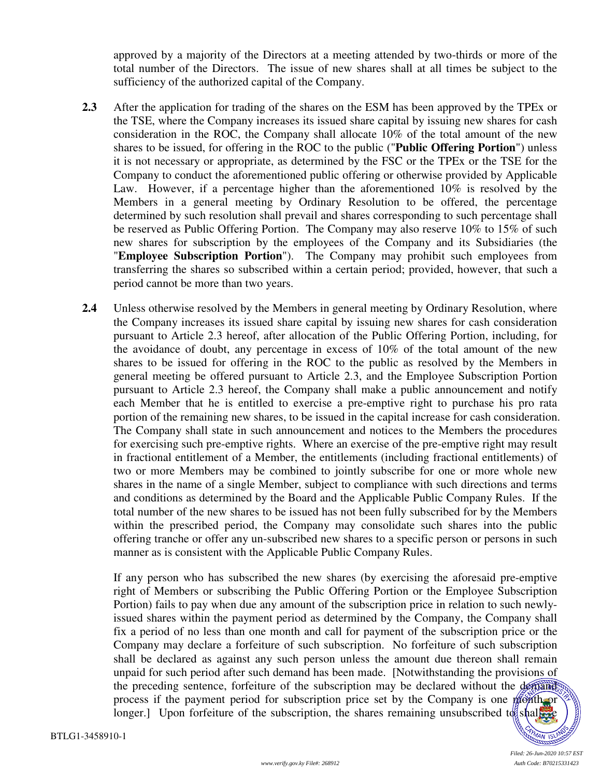approved by a majority of the Directors at a meeting attended by two-thirds or more of the total number of the Directors. The issue of new shares shall at all times be subject to the sufficiency of the authorized capital of the Company.

- **2.3** After the application for trading of the shares on the ESM has been approved by the TPEx or the TSE, where the Company increases its issued share capital by issuing new shares for cash consideration in the ROC, the Company shall allocate 10% of the total amount of the new shares to be issued, for offering in the ROC to the public ("**Public Offering Portion**") unless it is not necessary or appropriate, as determined by the FSC or the TPEx or the TSE for the Company to conduct the aforementioned public offering or otherwise provided by Applicable Law. However, if a percentage higher than the aforementioned 10% is resolved by the Members in a general meeting by Ordinary Resolution to be offered, the percentage determined by such resolution shall prevail and shares corresponding to such percentage shall be reserved as Public Offering Portion. The Company may also reserve 10% to 15% of such new shares for subscription by the employees of the Company and its Subsidiaries (the "**Employee Subscription Portion**"). The Company may prohibit such employees from transferring the shares so subscribed within a certain period; provided, however, that such a period cannot be more than two years.
- **2.4** Unless otherwise resolved by the Members in general meeting by Ordinary Resolution, where the Company increases its issued share capital by issuing new shares for cash consideration pursuant to Article 2.3 hereof, after allocation of the Public Offering Portion, including, for the avoidance of doubt, any percentage in excess of 10% of the total amount of the new shares to be issued for offering in the ROC to the public as resolved by the Members in general meeting be offered pursuant to Article 2.3, and the Employee Subscription Portion pursuant to Article 2.3 hereof, the Company shall make a public announcement and notify each Member that he is entitled to exercise a pre-emptive right to purchase his pro rata portion of the remaining new shares, to be issued in the capital increase for cash consideration. The Company shall state in such announcement and notices to the Members the procedures for exercising such pre-emptive rights. Where an exercise of the pre-emptive right may result in fractional entitlement of a Member, the entitlements (including fractional entitlements) of two or more Members may be combined to jointly subscribe for one or more whole new shares in the name of a single Member, subject to compliance with such directions and terms and conditions as determined by the Board and the Applicable Public Company Rules. If the total number of the new shares to be issued has not been fully subscribed for by the Members within the prescribed period, the Company may consolidate such shares into the public offering tranche or offer any un-subscribed new shares to a specific person or persons in such manner as is consistent with the Applicable Public Company Rules.

 If any person who has subscribed the new shares (by exercising the aforesaid pre-emptive right of Members or subscribing the Public Offering Portion or the Employee Subscription Portion) fails to pay when due any amount of the subscription price in relation to such newlyissued shares within the payment period as determined by the Company, the Company shall fix a period of no less than one month and call for payment of the subscription price or the Company may declare a forfeiture of such subscription. No forfeiture of such subscription shall be declared as against any such person unless the amount due thereon shall remain unpaid for such period after such demand has been made. [Notwithstanding the provisions of the preceding sentence, forfeiture of the subscription may be declared without the demand process if the payment period for subscription price set by the Company is one month or longer.] Upon forfeiture of the subscription, the shares remaining unsubscribed to shall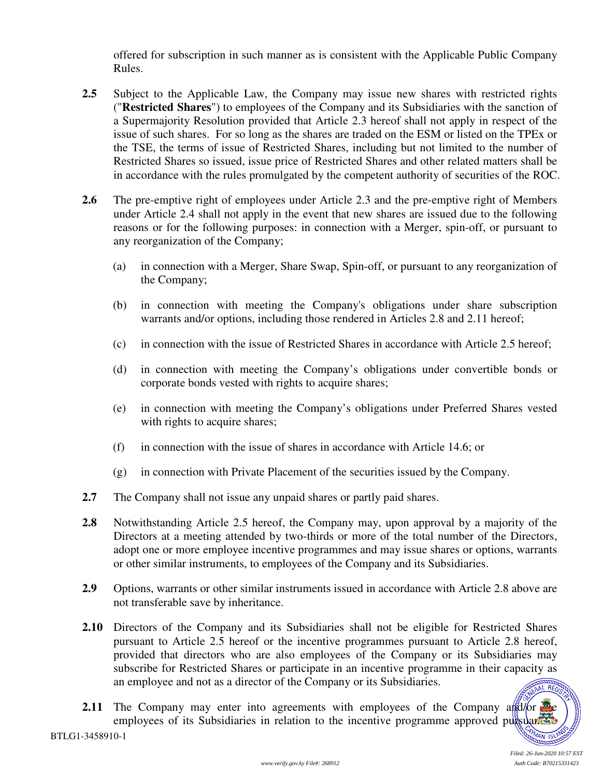offered for subscription in such manner as is consistent with the Applicable Public Company Rules.

- **2.5** Subject to the Applicable Law, the Company may issue new shares with restricted rights ("**Restricted Shares**") to employees of the Company and its Subsidiaries with the sanction of a Supermajority Resolution provided that Article 2.3 hereof shall not apply in respect of the issue of such shares. For so long as the shares are traded on the ESM or listed on the TPEx or the TSE, the terms of issue of Restricted Shares, including but not limited to the number of Restricted Shares so issued, issue price of Restricted Shares and other related matters shall be in accordance with the rules promulgated by the competent authority of securities of the ROC.
- **2.6** The pre-emptive right of employees under Article 2.3 and the pre-emptive right of Members under Article 2.4 shall not apply in the event that new shares are issued due to the following reasons or for the following purposes: in connection with a Merger, spin-off, or pursuant to any reorganization of the Company;
	- (a) in connection with a Merger, Share Swap, Spin-off, or pursuant to any reorganization of the Company;
	- (b) in connection with meeting the Company's obligations under share subscription warrants and/or options, including those rendered in Articles 2.8 and 2.11 hereof;
	- (c) in connection with the issue of Restricted Shares in accordance with Article 2.5 hereof;
	- (d) in connection with meeting the Company's obligations under convertible bonds or corporate bonds vested with rights to acquire shares;
	- (e) in connection with meeting the Company's obligations under Preferred Shares vested with rights to acquire shares;
	- (f) in connection with the issue of shares in accordance with Article 14.6; or
	- (g) in connection with Private Placement of the securities issued by the Company.
- **2.7** The Company shall not issue any unpaid shares or partly paid shares.
- **2.8** Notwithstanding Article 2.5 hereof, the Company may, upon approval by a majority of the Directors at a meeting attended by two-thirds or more of the total number of the Directors, adopt one or more employee incentive programmes and may issue shares or options, warrants or other similar instruments, to employees of the Company and its Subsidiaries.
- **2.9** Options, warrants or other similar instruments issued in accordance with Article 2.8 above are not transferable save by inheritance.
- **2.10** Directors of the Company and its Subsidiaries shall not be eligible for Restricted Shares pursuant to Article 2.5 hereof or the incentive programmes pursuant to Article 2.8 hereof, provided that directors who are also employees of the Company or its Subsidiaries may subscribe for Restricted Shares or participate in an incentive programme in their capacity as an employee and not as a director of the Company or its Subsidiaries. **AL REGIL**
- **2.11** The Company may enter into agreements with employees of the Company and the company employees of its Subsidiaries in relation to the incentive programme approved pursuants to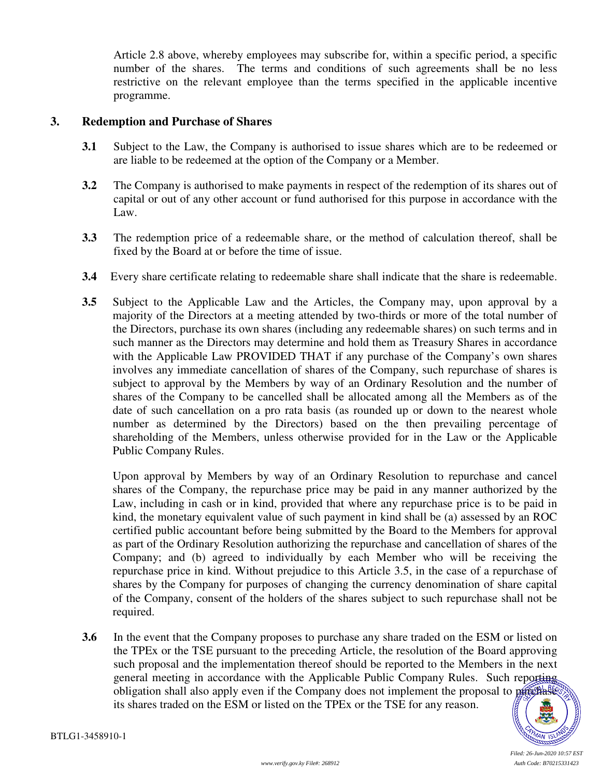Article 2.8 above, whereby employees may subscribe for, within a specific period, a specific number of the shares. The terms and conditions of such agreements shall be no less restrictive on the relevant employee than the terms specified in the applicable incentive programme.

#### **3. Redemption and Purchase of Shares**

- **3.1** Subject to the Law, the Company is authorised to issue shares which are to be redeemed or are liable to be redeemed at the option of the Company or a Member.
- **3.2** The Company is authorised to make payments in respect of the redemption of its shares out of capital or out of any other account or fund authorised for this purpose in accordance with the Law.
- **3.3** The redemption price of a redeemable share, or the method of calculation thereof, shall be fixed by the Board at or before the time of issue.
- **3.4** Every share certificate relating to redeemable share shall indicate that the share is redeemable.
- **3.5** Subject to the Applicable Law and the Articles, the Company may, upon approval by a majority of the Directors at a meeting attended by two-thirds or more of the total number of the Directors, purchase its own shares (including any redeemable shares) on such terms and in such manner as the Directors may determine and hold them as Treasury Shares in accordance with the Applicable Law PROVIDED THAT if any purchase of the Company's own shares involves any immediate cancellation of shares of the Company, such repurchase of shares is subject to approval by the Members by way of an Ordinary Resolution and the number of shares of the Company to be cancelled shall be allocated among all the Members as of the date of such cancellation on a pro rata basis (as rounded up or down to the nearest whole number as determined by the Directors) based on the then prevailing percentage of shareholding of the Members, unless otherwise provided for in the Law or the Applicable Public Company Rules.

Upon approval by Members by way of an Ordinary Resolution to repurchase and cancel shares of the Company, the repurchase price may be paid in any manner authorized by the Law, including in cash or in kind, provided that where any repurchase price is to be paid in kind, the monetary equivalent value of such payment in kind shall be (a) assessed by an ROC certified public accountant before being submitted by the Board to the Members for approval as part of the Ordinary Resolution authorizing the repurchase and cancellation of shares of the Company; and (b) agreed to individually by each Member who will be receiving the repurchase price in kind. Without prejudice to this Article 3.5, in the case of a repurchase of shares by the Company for purposes of changing the currency denomination of share capital of the Company, consent of the holders of the shares subject to such repurchase shall not be required.

**3.6** In the event that the Company proposes to purchase any share traded on the ESM or listed on the TPEx or the TSE pursuant to the preceding Article, the resolution of the Board approving such proposal and the implementation thereof should be reported to the Members in the next general meeting in accordance with the Applicable Public Company Rules. Such reporting obligation shall also apply even if the Company does not implement the proposal to purchase its shares traded on the ESM or listed on the TPEx or the TSE for any reason.

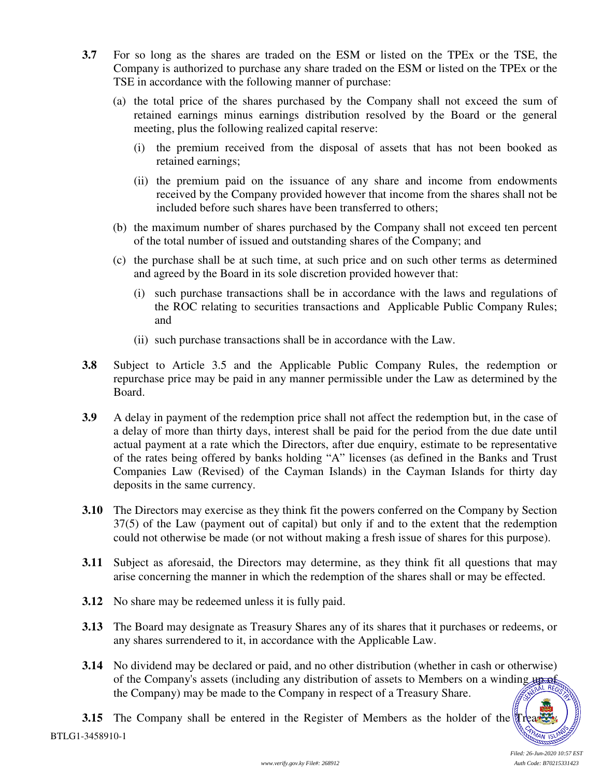- **3.7** For so long as the shares are traded on the ESM or listed on the TPEx or the TSE, the Company is authorized to purchase any share traded on the ESM or listed on the TPEx or the TSE in accordance with the following manner of purchase:
	- (a) the total price of the shares purchased by the Company shall not exceed the sum of retained earnings minus earnings distribution resolved by the Board or the general meeting, plus the following realized capital reserve:
		- (i) the premium received from the disposal of assets that has not been booked as retained earnings;
		- (ii) the premium paid on the issuance of any share and income from endowments received by the Company provided however that income from the shares shall not be included before such shares have been transferred to others;
	- (b) the maximum number of shares purchased by the Company shall not exceed ten percent of the total number of issued and outstanding shares of the Company; and
	- (c) the purchase shall be at such time, at such price and on such other terms as determined and agreed by the Board in its sole discretion provided however that:
		- (i) such purchase transactions shall be in accordance with the laws and regulations of the ROC relating to securities transactions and Applicable Public Company Rules; and
		- (ii) such purchase transactions shall be in accordance with the Law.
- **3.8** Subject to Article 3.5 and the Applicable Public Company Rules, the redemption or repurchase price may be paid in any manner permissible under the Law as determined by the Board.
- **3.9** A delay in payment of the redemption price shall not affect the redemption but, in the case of a delay of more than thirty days, interest shall be paid for the period from the due date until actual payment at a rate which the Directors, after due enquiry, estimate to be representative of the rates being offered by banks holding "A" licenses (as defined in the Banks and Trust Companies Law (Revised) of the Cayman Islands) in the Cayman Islands for thirty day deposits in the same currency.
- **3.10** The Directors may exercise as they think fit the powers conferred on the Company by Section 37(5) of the Law (payment out of capital) but only if and to the extent that the redemption could not otherwise be made (or not without making a fresh issue of shares for this purpose).
- **3.11** Subject as aforesaid, the Directors may determine, as they think fit all questions that may arise concerning the manner in which the redemption of the shares shall or may be effected.
- **3.12** No share may be redeemed unless it is fully paid.
- **3.13** The Board may designate as Treasury Shares any of its shares that it purchases or redeems, or any shares surrendered to it, in accordance with the Applicable Law.
- **3.14** No dividend may be declared or paid, and no other distribution (whether in cash or otherwise) of the Company's assets (including any distribution of assets to Members on a winding up of the Company) may be made to the Company in respect of a Treasury Share.

BTLG1-3458910-1 **3.15** The Company shall be entered in the Register of Members as the holder of the Treasury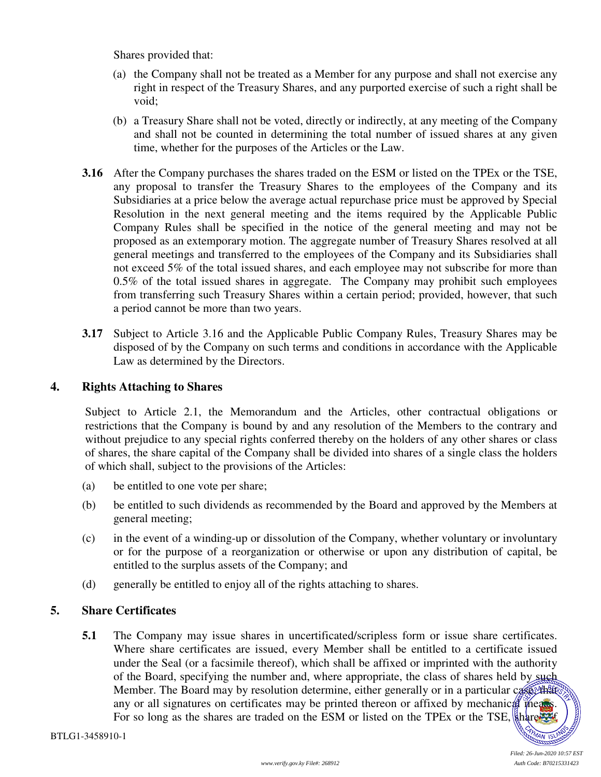Shares provided that:

- (a) the Company shall not be treated as a Member for any purpose and shall not exercise any right in respect of the Treasury Shares, and any purported exercise of such a right shall be void;
- (b) a Treasury Share shall not be voted, directly or indirectly, at any meeting of the Company and shall not be counted in determining the total number of issued shares at any given time, whether for the purposes of the Articles or the Law.
- **3.16** After the Company purchases the shares traded on the ESM or listed on the TPEx or the TSE, any proposal to transfer the Treasury Shares to the employees of the Company and its Subsidiaries at a price below the average actual repurchase price must be approved by Special Resolution in the next general meeting and the items required by the Applicable Public Company Rules shall be specified in the notice of the general meeting and may not be proposed as an extemporary motion. The aggregate number of Treasury Shares resolved at all general meetings and transferred to the employees of the Company and its Subsidiaries shall not exceed 5% of the total issued shares, and each employee may not subscribe for more than 0.5% of the total issued shares in aggregate. The Company may prohibit such employees from transferring such Treasury Shares within a certain period; provided, however, that such a period cannot be more than two years.
- **3.17** Subject to Article 3.16 and the Applicable Public Company Rules, Treasury Shares may be disposed of by the Company on such terms and conditions in accordance with the Applicable Law as determined by the Directors.

#### **4. Rights Attaching to Shares**

Subject to Article 2.1, the Memorandum and the Articles, other contractual obligations or restrictions that the Company is bound by and any resolution of the Members to the contrary and without prejudice to any special rights conferred thereby on the holders of any other shares or class of shares, the share capital of the Company shall be divided into shares of a single class the holders of which shall, subject to the provisions of the Articles:

- (a) be entitled to one vote per share;
- (b) be entitled to such dividends as recommended by the Board and approved by the Members at general meeting;
- (c) in the event of a winding-up or dissolution of the Company, whether voluntary or involuntary or for the purpose of a reorganization or otherwise or upon any distribution of capital, be entitled to the surplus assets of the Company; and
- (d) generally be entitled to enjoy all of the rights attaching to shares.

# **5. Share Certificates**

**5.1** The Company may issue shares in uncertificated/scripless form or issue share certificates. Where share certificates are issued, every Member shall be entitled to a certificate issued under the Seal (or a facsimile thereof), which shall be affixed or imprinted with the authority of the Board, specifying the number and, where appropriate, the class of shares held by such Member. The Board may by resolution determine, either generally or in a particular case, that any or all signatures on certificates may be printed thereon or affixed by mechanical means. For so long as the shares are traded on the ESM or listed on the TPEx or the TSE, share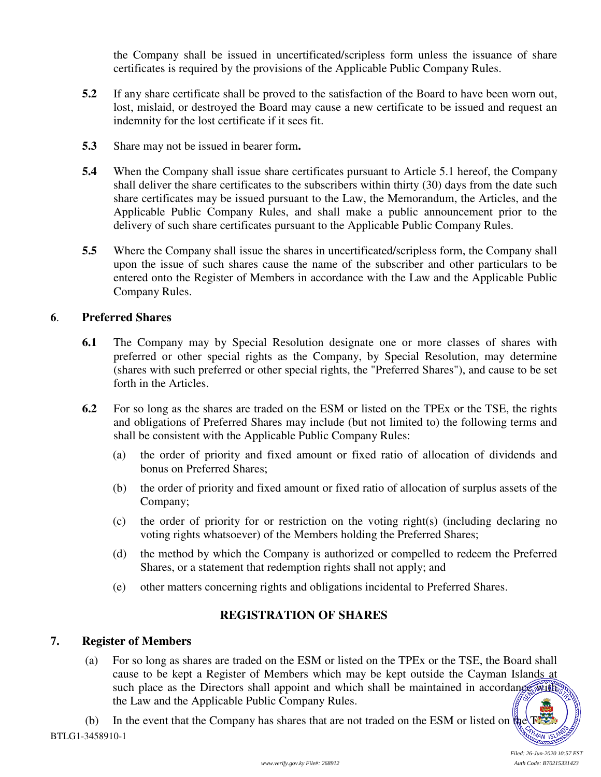the Company shall be issued in uncertificated/scripless form unless the issuance of share certificates is required by the provisions of the Applicable Public Company Rules.

- **5.2** If any share certificate shall be proved to the satisfaction of the Board to have been worn out, lost, mislaid, or destroyed the Board may cause a new certificate to be issued and request an indemnity for the lost certificate if it sees fit.
- **5.3** Share may not be issued in bearer form**.**
- **5.4** When the Company shall issue share certificates pursuant to Article 5.1 hereof, the Company shall deliver the share certificates to the subscribers within thirty (30) days from the date such share certificates may be issued pursuant to the Law, the Memorandum, the Articles, and the Applicable Public Company Rules, and shall make a public announcement prior to the delivery of such share certificates pursuant to the Applicable Public Company Rules.
- **5.5** Where the Company shall issue the shares in uncertificated/scripless form, the Company shall upon the issue of such shares cause the name of the subscriber and other particulars to be entered onto the Register of Members in accordance with the Law and the Applicable Public Company Rules.

#### **6**. **Preferred Shares**

- **6.1** The Company may by Special Resolution designate one or more classes of shares with preferred or other special rights as the Company, by Special Resolution, may determine (shares with such preferred or other special rights, the "Preferred Shares"), and cause to be set forth in the Articles.
- **6.2** For so long as the shares are traded on the ESM or listed on the TPEx or the TSE, the rights and obligations of Preferred Shares may include (but not limited to) the following terms and shall be consistent with the Applicable Public Company Rules:
	- (a) the order of priority and fixed amount or fixed ratio of allocation of dividends and bonus on Preferred Shares;
	- (b) the order of priority and fixed amount or fixed ratio of allocation of surplus assets of the Company;
	- (c) the order of priority for or restriction on the voting right(s) (including declaring no voting rights whatsoever) of the Members holding the Preferred Shares;
	- (d) the method by which the Company is authorized or compelled to redeem the Preferred Shares, or a statement that redemption rights shall not apply; and
	- (e) other matters concerning rights and obligations incidental to Preferred Shares.

# **REGISTRATION OF SHARES**

# **7. Register of Members**

(a) For so long as shares are traded on the ESM or listed on the TPEx or the TSE, the Board shall cause to be kept a Register of Members which may be kept outside the Cayman Islands at such place as the Directors shall appoint and which shall be maintained in accordance with the Law and the Applicable Public Company Rules.

BTLG1-3458910-1 (b) In the event that the Company has shares that are not traded on the ESM or listed on the  $\mathbb{R}^n$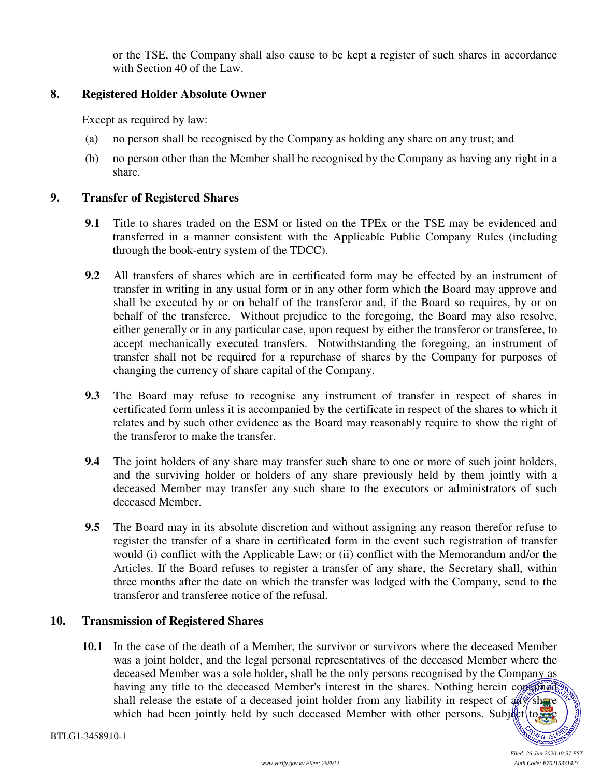or the TSE, the Company shall also cause to be kept a register of such shares in accordance with Section 40 of the Law.

# **8. Registered Holder Absolute Owner**

Except as required by law:

- (a) no person shall be recognised by the Company as holding any share on any trust; and
- (b) no person other than the Member shall be recognised by the Company as having any right in a share.

#### **9. Transfer of Registered Shares**

- **9.1** Title to shares traded on the ESM or listed on the TPEx or the TSE may be evidenced and transferred in a manner consistent with the Applicable Public Company Rules (including through the book-entry system of the TDCC).
- **9.2** All transfers of shares which are in certificated form may be effected by an instrument of transfer in writing in any usual form or in any other form which the Board may approve and shall be executed by or on behalf of the transferor and, if the Board so requires, by or on behalf of the transferee. Without prejudice to the foregoing, the Board may also resolve, either generally or in any particular case, upon request by either the transferor or transferee, to accept mechanically executed transfers. Notwithstanding the foregoing, an instrument of transfer shall not be required for a repurchase of shares by the Company for purposes of changing the currency of share capital of the Company.
- **9.3** The Board may refuse to recognise any instrument of transfer in respect of shares in certificated form unless it is accompanied by the certificate in respect of the shares to which it relates and by such other evidence as the Board may reasonably require to show the right of the transferor to make the transfer.
- **9.4** The joint holders of any share may transfer such share to one or more of such joint holders, and the surviving holder or holders of any share previously held by them jointly with a deceased Member may transfer any such share to the executors or administrators of such deceased Member.
- **9.5** The Board may in its absolute discretion and without assigning any reason therefor refuse to register the transfer of a share in certificated form in the event such registration of transfer would (i) conflict with the Applicable Law; or (ii) conflict with the Memorandum and/or the Articles. If the Board refuses to register a transfer of any share, the Secretary shall, within three months after the date on which the transfer was lodged with the Company, send to the transferor and transferee notice of the refusal.

# **10. Transmission of Registered Shares**

**10.1** In the case of the death of a Member, the survivor or survivors where the deceased Member was a joint holder, and the legal personal representatives of the deceased Member where the deceased Member was a sole holder, shall be the only persons recognised by the Company as having any title to the deceased Member's interest in the shares. Nothing herein contained shall release the estate of a deceased joint holder from any liability in respect of  $\frac{d}{dx}$  share which had been jointly held by such deceased Member with other persons. Subject to the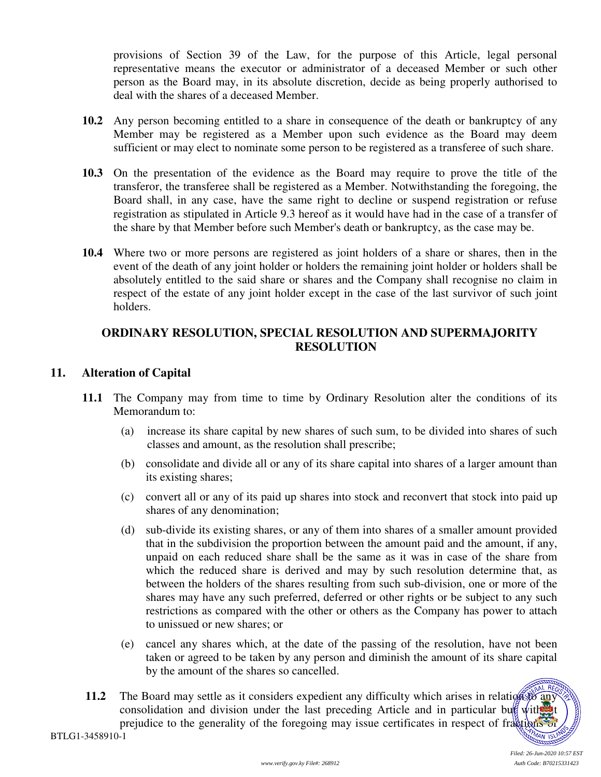provisions of Section 39 of the Law, for the purpose of this Article, legal personal representative means the executor or administrator of a deceased Member or such other person as the Board may, in its absolute discretion, decide as being properly authorised to deal with the shares of a deceased Member.

- **10.2** Any person becoming entitled to a share in consequence of the death or bankruptcy of any Member may be registered as a Member upon such evidence as the Board may deem sufficient or may elect to nominate some person to be registered as a transferee of such share.
- **10.3** On the presentation of the evidence as the Board may require to prove the title of the transferor, the transferee shall be registered as a Member. Notwithstanding the foregoing, the Board shall, in any case, have the same right to decline or suspend registration or refuse registration as stipulated in Article 9.3 hereof as it would have had in the case of a transfer of the share by that Member before such Member's death or bankruptcy, as the case may be.
- **10.4** Where two or more persons are registered as joint holders of a share or shares, then in the event of the death of any joint holder or holders the remaining joint holder or holders shall be absolutely entitled to the said share or shares and the Company shall recognise no claim in respect of the estate of any joint holder except in the case of the last survivor of such joint holders.

# **ORDINARY RESOLUTION, SPECIAL RESOLUTION AND SUPERMAJORITY RESOLUTION**

# **11. Alteration of Capital**

- **11.1** The Company may from time to time by Ordinary Resolution alter the conditions of its Memorandum to:
	- (a) increase its share capital by new shares of such sum, to be divided into shares of such classes and amount, as the resolution shall prescribe;
	- (b) consolidate and divide all or any of its share capital into shares of a larger amount than its existing shares;
	- (c) convert all or any of its paid up shares into stock and reconvert that stock into paid up shares of any denomination;
	- (d) sub-divide its existing shares, or any of them into shares of a smaller amount provided that in the subdivision the proportion between the amount paid and the amount, if any, unpaid on each reduced share shall be the same as it was in case of the share from which the reduced share is derived and may by such resolution determine that, as between the holders of the shares resulting from such sub-division, one or more of the shares may have any such preferred, deferred or other rights or be subject to any such restrictions as compared with the other or others as the Company has power to attach to unissued or new shares; or
	- (e) cancel any shares which, at the date of the passing of the resolution, have not been taken or agreed to be taken by any person and diminish the amount of its share capital by the amount of the shares so cancelled.
- **11.2** The Board may settle as it considers expedient any difficulty which arises in relation to any consolidation and division under the last preceding Article and in particular but with  $\mathbf{w}$  t prejudice to the generality of the foregoing may issue certificates in respect of fractions of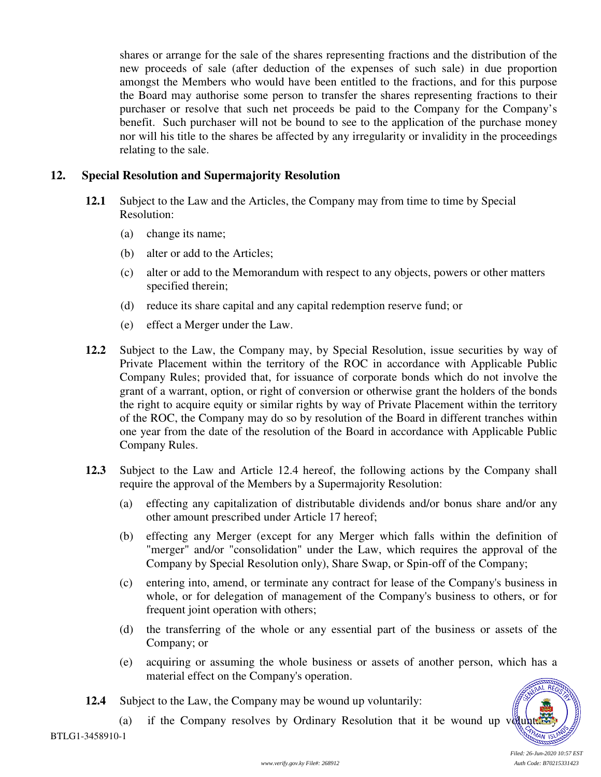shares or arrange for the sale of the shares representing fractions and the distribution of the new proceeds of sale (after deduction of the expenses of such sale) in due proportion amongst the Members who would have been entitled to the fractions, and for this purpose the Board may authorise some person to transfer the shares representing fractions to their purchaser or resolve that such net proceeds be paid to the Company for the Company's benefit. Such purchaser will not be bound to see to the application of the purchase money nor will his title to the shares be affected by any irregularity or invalidity in the proceedings relating to the sale.

#### **12. Special Resolution and Supermajority Resolution**

- **12.1** Subject to the Law and the Articles, the Company may from time to time by Special Resolution:
	- (a) change its name;
	- (b) alter or add to the Articles;
	- (c) alter or add to the Memorandum with respect to any objects, powers or other matters specified therein;
	- (d) reduce its share capital and any capital redemption reserve fund; or
	- (e) effect a Merger under the Law.
- 12.2 Subject to the Law, the Company may, by Special Resolution, issue securities by way of Private Placement within the territory of the ROC in accordance with Applicable Public Company Rules; provided that, for issuance of corporate bonds which do not involve the grant of a warrant, option, or right of conversion or otherwise grant the holders of the bonds the right to acquire equity or similar rights by way of Private Placement within the territory of the ROC, the Company may do so by resolution of the Board in different tranches within one year from the date of the resolution of the Board in accordance with Applicable Public Company Rules.
- **12.3** Subject to the Law and Article 12.4 hereof, the following actions by the Company shall require the approval of the Members by a Supermajority Resolution:
	- (a) effecting any capitalization of distributable dividends and/or bonus share and/or any other amount prescribed under Article 17 hereof;
	- (b) effecting any Merger (except for any Merger which falls within the definition of "merger" and/or "consolidation" under the Law, which requires the approval of the Company by Special Resolution only), Share Swap, or Spin-off of the Company;
	- (c) entering into, amend, or terminate any contract for lease of the Company's business in whole, or for delegation of management of the Company's business to others, or for frequent joint operation with others;
	- (d) the transferring of the whole or any essential part of the business or assets of the Company; or
	- (e) acquiring or assuming the whole business or assets of another person, which has a material effect on the Company's operation. AL REG
- **12.4** Subject to the Law, the Company may be wound up voluntarily:
	- (a) if the Company resolves by Ordinary Resolution that it be wound up volunt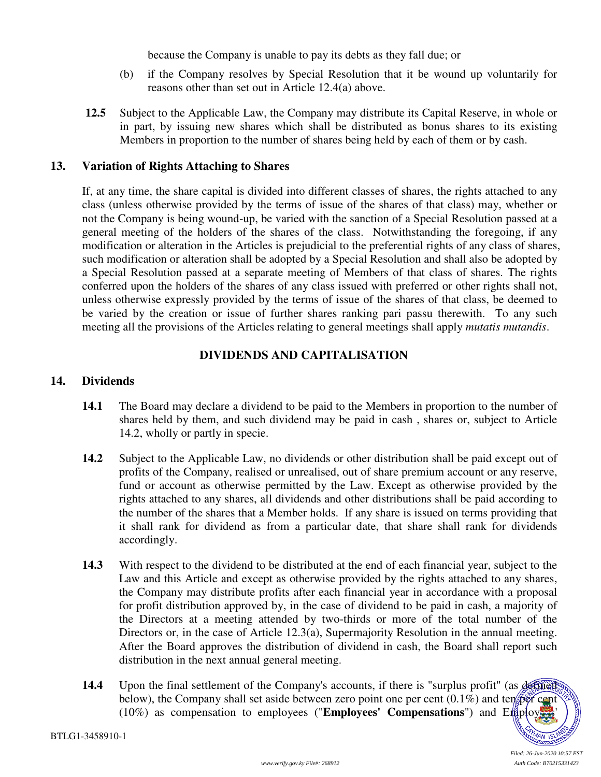because the Company is unable to pay its debts as they fall due; or

- (b) if the Company resolves by Special Resolution that it be wound up voluntarily for reasons other than set out in Article 12.4(a) above.
- **12.5** Subject to the Applicable Law, the Company may distribute its Capital Reserve, in whole or in part, by issuing new shares which shall be distributed as bonus shares to its existing Members in proportion to the number of shares being held by each of them or by cash.

#### **13. Variation of Rights Attaching to Shares**

If, at any time, the share capital is divided into different classes of shares, the rights attached to any class (unless otherwise provided by the terms of issue of the shares of that class) may, whether or not the Company is being wound-up, be varied with the sanction of a Special Resolution passed at a general meeting of the holders of the shares of the class. Notwithstanding the foregoing, if any modification or alteration in the Articles is prejudicial to the preferential rights of any class of shares, such modification or alteration shall be adopted by a Special Resolution and shall also be adopted by a Special Resolution passed at a separate meeting of Members of that class of shares. The rights conferred upon the holders of the shares of any class issued with preferred or other rights shall not, unless otherwise expressly provided by the terms of issue of the shares of that class, be deemed to be varied by the creation or issue of further shares ranking pari passu therewith. To any such meeting all the provisions of the Articles relating to general meetings shall apply *mutatis mutandis*.

# **DIVIDENDS AND CAPITALISATION**

#### **14. Dividends**

- **14.1** The Board may declare a dividend to be paid to the Members in proportion to the number of shares held by them, and such dividend may be paid in cash , shares or, subject to Article 14.2, wholly or partly in specie.
- **14.2** Subject to the Applicable Law, no dividends or other distribution shall be paid except out of profits of the Company, realised or unrealised, out of share premium account or any reserve, fund or account as otherwise permitted by the Law. Except as otherwise provided by the rights attached to any shares, all dividends and other distributions shall be paid according to the number of the shares that a Member holds. If any share is issued on terms providing that it shall rank for dividend as from a particular date, that share shall rank for dividends accordingly.
- **14.3** With respect to the dividend to be distributed at the end of each financial year, subject to the Law and this Article and except as otherwise provided by the rights attached to any shares, the Company may distribute profits after each financial year in accordance with a proposal for profit distribution approved by, in the case of dividend to be paid in cash, a majority of the Directors at a meeting attended by two-thirds or more of the total number of the Directors or, in the case of Article 12.3(a), Supermajority Resolution in the annual meeting. After the Board approves the distribution of dividend in cash, the Board shall report such distribution in the next annual general meeting.
- **14.4** Upon the final settlement of the Company's accounts, if there is "surplus profit" (as defined below), the Company shall set aside between zero point one per cent  $(0.1\%)$  and ten per cent (10%) as compensation to employees ("**Employees' Compensations**") and Employees'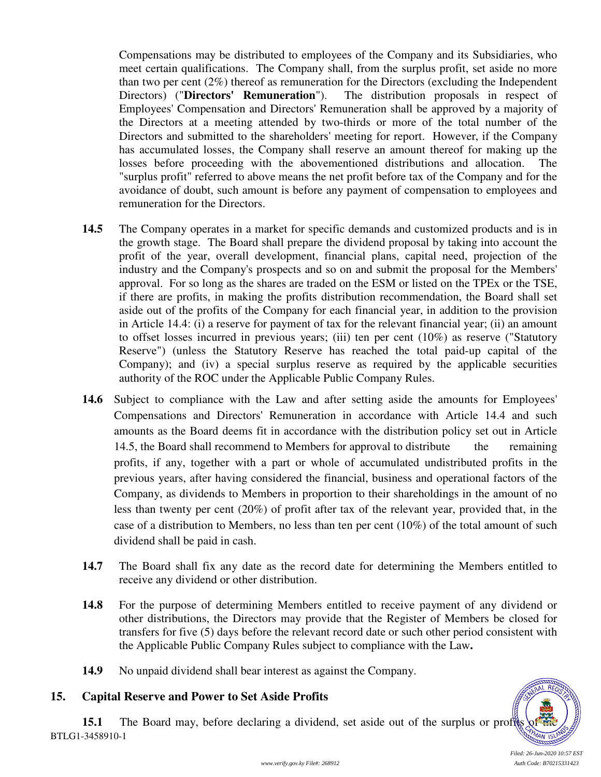Compensations may be distributed to employees of the Company and its Subsidiaries, who meet certain qualifications. The Company shall, from the surplus profit, set aside no more than two per cent  $(2\%)$  thereof as remuneration for the Directors (excluding the Independent Directors) ("**Directors' Remuneration**"). The distribution proposals in respect of Employees' Compensation and Directors' Remuneration shall be approved by a majority of the Directors at a meeting attended by two-thirds or more of the total number of the Directors and submitted to the shareholders' meeting for report. However, if the Company has accumulated losses, the Company shall reserve an amount thereof for making up the losses before proceeding with the abovementioned distributions and allocation. The "surplus profit" referred to above means the net profit before tax of the Company and for the avoidance of doubt, such amount is before any payment of compensation to employees and remuneration for the Directors.

- **14.5** The Company operates in a market for specific demands and customized products and is in the growth stage. The Board shall prepare the dividend proposal by taking into account the profit of the year, overall development, financial plans, capital need, projection of the industry and the Company's prospects and so on and submit the proposal for the Members' approval. For so long as the shares are traded on the ESM or listed on the TPEx or the TSE, if there are profits, in making the profits distribution recommendation, the Board shall set aside out of the profits of the Company for each financial year, in addition to the provision in Article 14.4: (i) a reserve for payment of tax for the relevant financial year; (ii) an amount to offset losses incurred in previous years; (iii) ten per cent (10%) as reserve ("Statutory Reserve") (unless the Statutory Reserve has reached the total paid-up capital of the Company); and (iv) a special surplus reserve as required by the applicable securities authority of the ROC under the Applicable Public Company Rules.
- **14.6** Subject to compliance with the Law and after setting aside the amounts for Employees' Compensations and Directors' Remuneration in accordance with Article 14.4 and such amounts as the Board deems fit in accordance with the distribution policy set out in Article 14.5, the Board shall recommend to Members for approval to distribute the remaining profits, if any, together with a part or whole of accumulated undistributed profits in the previous years, after having considered the financial, business and operational factors of the Company, as dividends to Members in proportion to their shareholdings in the amount of no less than twenty per cent (20%) of profit after tax of the relevant year, provided that, in the case of a distribution to Members, no less than ten per cent (10%) of the total amount of such dividend shall be paid in cash.
- **14.7** The Board shall fix any date as the record date for determining the Members entitled to receive any dividend or other distribution.
- **14.8** For the purpose of determining Members entitled to receive payment of any dividend or other distributions, the Directors may provide that the Register of Members be closed for transfers for five (5) days before the relevant record date or such other period consistent with the Applicable Public Company Rules subject to compliance with the Law**.**
- **14.9** No unpaid dividend shall bear interest as against the Company.

# **15. Capital Reserve and Power to Set Aside Profits**

BTLG1-3458910-1 **15.1** The Board may, before declaring a dividend, set aside out of the surplus or profits



*Filed: 26-Jun-2020 10:57 EST*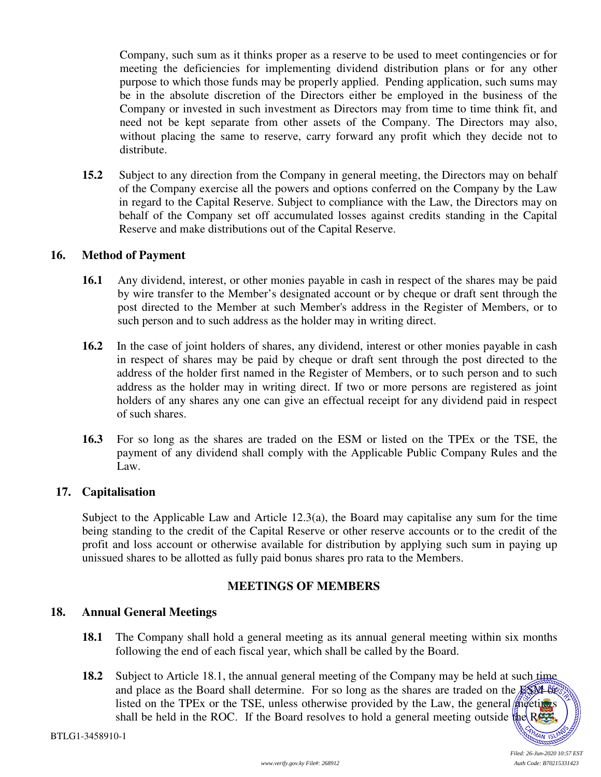Company, such sum as it thinks proper as a reserve to be used to meet contingencies or for meeting the deficiencies for implementing dividend distribution plans or for any other purpose to which those funds may be properly applied. Pending application, such sums may be in the absolute discretion of the Directors either be employed in the business of the Company or invested in such investment as Directors may from time to time think fit, and need not be kept separate from other assets of the Company. The Directors may also, without placing the same to reserve, carry forward any profit which they decide not to distribute.

**15.2** Subject to any direction from the Company in general meeting, the Directors may on behalf of the Company exercise all the powers and options conferred on the Company by the Law in regard to the Capital Reserve. Subject to compliance with the Law, the Directors may on behalf of the Company set off accumulated losses against credits standing in the Capital Reserve and make distributions out of the Capital Reserve.

#### **16. Method of Payment**

- **16.1** Any dividend, interest, or other monies payable in cash in respect of the shares may be paid by wire transfer to the Member's designated account or by cheque or draft sent through the post directed to the Member at such Member's address in the Register of Members, or to such person and to such address as the holder may in writing direct.
- **16.2** In the case of joint holders of shares, any dividend, interest or other monies payable in cash in respect of shares may be paid by cheque or draft sent through the post directed to the address of the holder first named in the Register of Members, or to such person and to such address as the holder may in writing direct. If two or more persons are registered as joint holders of any shares any one can give an effectual receipt for any dividend paid in respect of such shares.
- **16.3** For so long as the shares are traded on the ESM or listed on the TPEx or the TSE, the payment of any dividend shall comply with the Applicable Public Company Rules and the Law.

# **17. Capitalisation**

Subject to the Applicable Law and Article 12.3(a), the Board may capitalise any sum for the time being standing to the credit of the Capital Reserve or other reserve accounts or to the credit of the profit and loss account or otherwise available for distribution by applying such sum in paying up unissued shares to be allotted as fully paid bonus shares pro rata to the Members.

# **MEETINGS OF MEMBERS**

#### **18. Annual General Meetings**

- **18.1** The Company shall hold a general meeting as its annual general meeting within six months following the end of each fiscal year, which shall be called by the Board.
- **18.2** Subject to Article 18.1, the annual general meeting of the Company may be held at such time and place as the Board shall determine. For so long as the shares are traded on the  $ESM-60$ listed on the TPEx or the TSE, unless otherwise provided by the Law, the general meetings shall be held in the ROC. If the Board resolves to hold a general meeting outside the RAC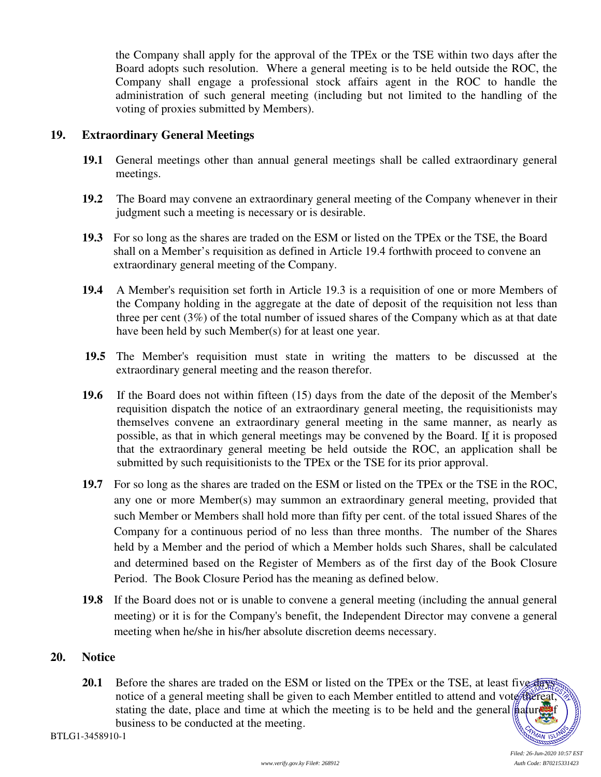the Company shall apply for the approval of the TPEx or the TSE within two days after the Board adopts such resolution. Where a general meeting is to be held outside the ROC, the Company shall engage a professional stock affairs agent in the ROC to handle the administration of such general meeting (including but not limited to the handling of the voting of proxies submitted by Members).

#### **19. Extraordinary General Meetings**

- **19.1** General meetings other than annual general meetings shall be called extraordinary general meetings.
- **19.2** The Board may convene an extraordinary general meeting of the Company whenever in their judgment such a meeting is necessary or is desirable.
- **19.3** For so long as the shares are traded on the ESM or listed on the TPEx or the TSE, the Board shall on a Member's requisition as defined in Article 19.4 forthwith proceed to convene an extraordinary general meeting of the Company.
- **19.4** A Member's requisition set forth in Article 19.3 is a requisition of one or more Members of the Company holding in the aggregate at the date of deposit of the requisition not less than three per cent (3%) of the total number of issued shares of the Company which as at that date have been held by such Member(s) for at least one year.
- **19.5** The Member's requisition must state in writing the matters to be discussed at the extraordinary general meeting and the reason therefor.
- **19.6** If the Board does not within fifteen (15) days from the date of the deposit of the Member's requisition dispatch the notice of an extraordinary general meeting, the requisitionists may themselves convene an extraordinary general meeting in the same manner, as nearly as possible, as that in which general meetings may be convened by the Board. If it is proposed that the extraordinary general meeting be held outside the ROC, an application shall be submitted by such requisitionists to the TPEx or the TSE for its prior approval.
- **19.7** For so long as the shares are traded on the ESM or listed on the TPEx or the TSE in the ROC, any one or more Member(s) may summon an extraordinary general meeting, provided that such Member or Members shall hold more than fifty per cent. of the total issued Shares of the Company for a continuous period of no less than three months. The number of the Shares held by a Member and the period of which a Member holds such Shares, shall be calculated and determined based on the Register of Members as of the first day of the Book Closure Period. The Book Closure Period has the meaning as defined below.
- **19.8** If the Board does not or is unable to convene a general meeting (including the annual general meeting) or it is for the Company's benefit, the Independent Director may convene a general meeting when he/she in his/her absolute discretion deems necessary.

#### **20. Notice**

**20.1** Before the shares are traded on the ESM or listed on the TPEx or the TSE, at least five days' notice of a general meeting shall be given to each Member entitled to attend and vote thereat, stating the date, place and time at which the meeting is to be held and the general  $\|\hat{\mathbf{a}}\|$ business to be conducted at the meeting.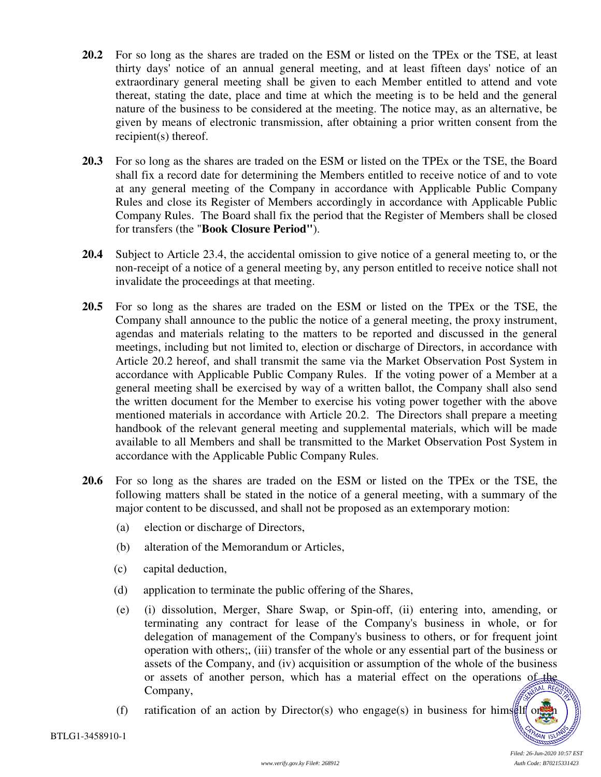- **20.2** For so long as the shares are traded on the ESM or listed on the TPEx or the TSE, at least thirty days' notice of an annual general meeting, and at least fifteen days' notice of an extraordinary general meeting shall be given to each Member entitled to attend and vote thereat, stating the date, place and time at which the meeting is to be held and the general nature of the business to be considered at the meeting. The notice may, as an alternative, be given by means of electronic transmission, after obtaining a prior written consent from the recipient(s) thereof.
- **20.3** For so long as the shares are traded on the ESM or listed on the TPEx or the TSE, the Board shall fix a record date for determining the Members entitled to receive notice of and to vote at any general meeting of the Company in accordance with Applicable Public Company Rules and close its Register of Members accordingly in accordance with Applicable Public Company Rules. The Board shall fix the period that the Register of Members shall be closed for transfers (the "**Book Closure Period"**).
- **20.4** Subject to Article 23.4, the accidental omission to give notice of a general meeting to, or the non-receipt of a notice of a general meeting by, any person entitled to receive notice shall not invalidate the proceedings at that meeting.
- **20.5** For so long as the shares are traded on the ESM or listed on the TPEx or the TSE, the Company shall announce to the public the notice of a general meeting, the proxy instrument, agendas and materials relating to the matters to be reported and discussed in the general meetings, including but not limited to, election or discharge of Directors, in accordance with Article 20.2 hereof, and shall transmit the same via the Market Observation Post System in accordance with Applicable Public Company Rules. If the voting power of a Member at a general meeting shall be exercised by way of a written ballot, the Company shall also send the written document for the Member to exercise his voting power together with the above mentioned materials in accordance with Article 20.2. The Directors shall prepare a meeting handbook of the relevant general meeting and supplemental materials, which will be made available to all Members and shall be transmitted to the Market Observation Post System in accordance with the Applicable Public Company Rules.
- **20.6** For so long as the shares are traded on the ESM or listed on the TPEx or the TSE, the following matters shall be stated in the notice of a general meeting, with a summary of the major content to be discussed, and shall not be proposed as an extemporary motion:
	- (a) election or discharge of Directors,
	- (b) alteration of the Memorandum or Articles,
	- (c) capital deduction,
	- (d) application to terminate the public offering of the Shares,
	- (e) (i) dissolution, Merger, Share Swap, or Spin-off, (ii) entering into, amending, or terminating any contract for lease of the Company's business in whole, or for delegation of management of the Company's business to others, or for frequent joint operation with others;, (iii) transfer of the whole or any essential part of the business or assets of the Company, and (iv) acquisition or assumption of the whole of the business or assets of another person, which has a material effect on the operations of the Company,
	- (f) ratification of an action by Director(s) who engage(s) in business for himself or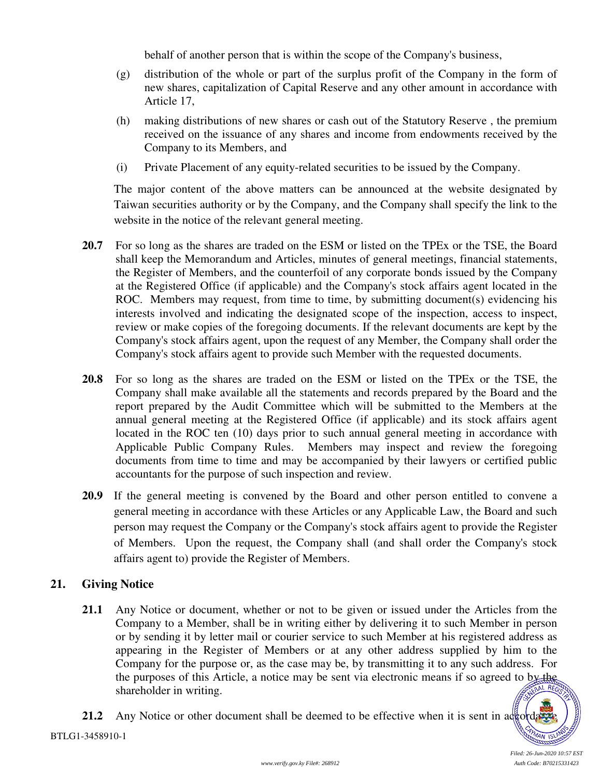behalf of another person that is within the scope of the Company's business,

- (g) distribution of the whole or part of the surplus profit of the Company in the form of new shares, capitalization of Capital Reserve and any other amount in accordance with Article 17,
- (h) making distributions of new shares or cash out of the Statutory Reserve , the premium received on the issuance of any shares and income from endowments received by the Company to its Members, and
- (i) Private Placement of any equity-related securities to be issued by the Company.

The major content of the above matters can be announced at the website designated by Taiwan securities authority or by the Company, and the Company shall specify the link to the website in the notice of the relevant general meeting.

- **20.7** For so long as the shares are traded on the ESM or listed on the TPEx or the TSE, the Board shall keep the Memorandum and Articles, minutes of general meetings, financial statements, the Register of Members, and the counterfoil of any corporate bonds issued by the Company at the Registered Office (if applicable) and the Company's stock affairs agent located in the ROC. Members may request, from time to time, by submitting document(s) evidencing his interests involved and indicating the designated scope of the inspection, access to inspect, review or make copies of the foregoing documents. If the relevant documents are kept by the Company's stock affairs agent, upon the request of any Member, the Company shall order the Company's stock affairs agent to provide such Member with the requested documents.
- **20.8** For so long as the shares are traded on the ESM or listed on the TPEx or the TSE, the Company shall make available all the statements and records prepared by the Board and the report prepared by the Audit Committee which will be submitted to the Members at the annual general meeting at the Registered Office (if applicable) and its stock affairs agent located in the ROC ten (10) days prior to such annual general meeting in accordance with Applicable Public Company Rules. Members may inspect and review the foregoing documents from time to time and may be accompanied by their lawyers or certified public accountants for the purpose of such inspection and review.
- **20.9** If the general meeting is convened by the Board and other person entitled to convene a general meeting in accordance with these Articles or any Applicable Law, the Board and such person may request the Company or the Company's stock affairs agent to provide the Register of Members. Upon the request, the Company shall (and shall order the Company's stock affairs agent to) provide the Register of Members.

# **21. Giving Notice**

**21.1** Any Notice or document, whether or not to be given or issued under the Articles from the Company to a Member, shall be in writing either by delivering it to such Member in person or by sending it by letter mail or courier service to such Member at his registered address as appearing in the Register of Members or at any other address supplied by him to the Company for the purpose or, as the case may be, by transmitting it to any such address. For the purposes of this Article, a notice may be sent via electronic means if so agreed to by the shareholder in writing.  $L$  REGI

**21.2** Any Notice or other document shall be deemed to be effective when it is sent in accordance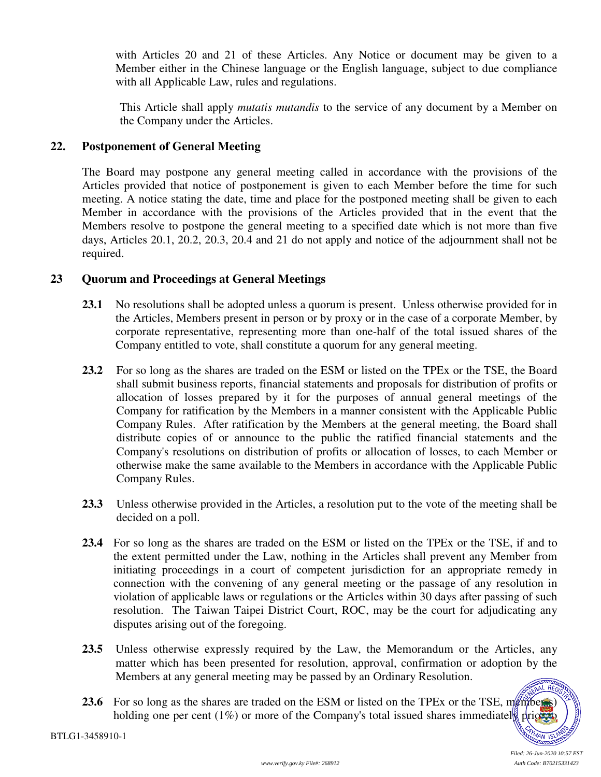with Articles 20 and 21 of these Articles. Any Notice or document may be given to a Member either in the Chinese language or the English language, subject to due compliance with all Applicable Law, rules and regulations.

This Article shall apply *mutatis mutandis* to the service of any document by a Member on the Company under the Articles.

#### **22. Postponement of General Meeting**

The Board may postpone any general meeting called in accordance with the provisions of the Articles provided that notice of postponement is given to each Member before the time for such meeting. A notice stating the date, time and place for the postponed meeting shall be given to each Member in accordance with the provisions of the Articles provided that in the event that the Members resolve to postpone the general meeting to a specified date which is not more than five days, Articles 20.1, 20.2, 20.3, 20.4 and 21 do not apply and notice of the adjournment shall not be required.

#### **23 Quorum and Proceedings at General Meetings**

- **23.1** No resolutions shall be adopted unless a quorum is present. Unless otherwise provided for in the Articles, Members present in person or by proxy or in the case of a corporate Member, by corporate representative, representing more than one-half of the total issued shares of the Company entitled to vote, shall constitute a quorum for any general meeting.
- **23.2** For so long as the shares are traded on the ESM or listed on the TPEx or the TSE, the Board shall submit business reports, financial statements and proposals for distribution of profits or allocation of losses prepared by it for the purposes of annual general meetings of the Company for ratification by the Members in a manner consistent with the Applicable Public Company Rules. After ratification by the Members at the general meeting, the Board shall distribute copies of or announce to the public the ratified financial statements and the Company's resolutions on distribution of profits or allocation of losses, to each Member or otherwise make the same available to the Members in accordance with the Applicable Public Company Rules.
- **23.3** Unless otherwise provided in the Articles, a resolution put to the vote of the meeting shall be decided on a poll.
- **23.4** For so long as the shares are traded on the ESM or listed on the TPEx or the TSE, if and to the extent permitted under the Law, nothing in the Articles shall prevent any Member from initiating proceedings in a court of competent jurisdiction for an appropriate remedy in connection with the convening of any general meeting or the passage of any resolution in violation of applicable laws or regulations or the Articles within 30 days after passing of such resolution. The Taiwan Taipei District Court, ROC, may be the court for adjudicating any disputes arising out of the foregoing.
- **23.5** Unless otherwise expressly required by the Law, the Memorandum or the Articles, any matter which has been presented for resolution, approval, confirmation or adoption by the Members at any general meeting may be passed by an Ordinary Resolution. AL REG
- **23.6** For so long as the shares are traded on the ESM or listed on the TPEx or the TSE, members holding one per cent (1%) or more of the Company's total issued shares immediately prior to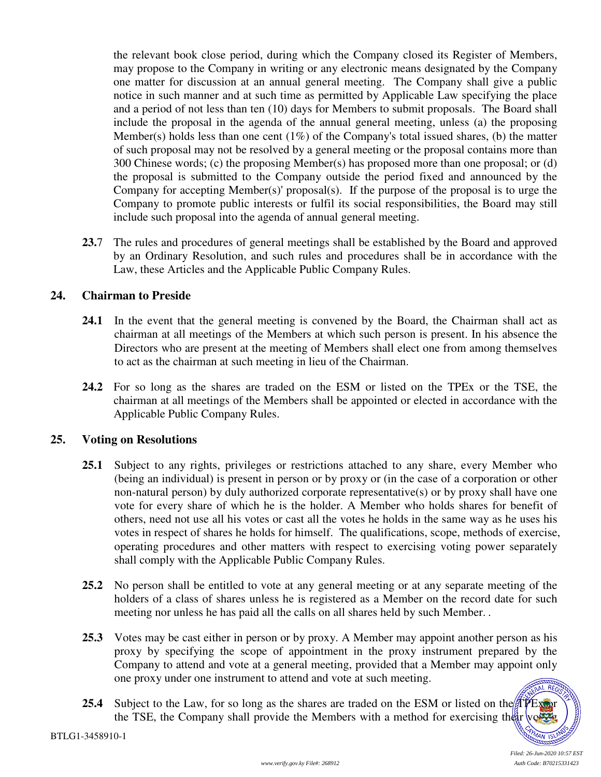the relevant book close period, during which the Company closed its Register of Members, may propose to the Company in writing or any electronic means designated by the Company one matter for discussion at an annual general meeting. The Company shall give a public notice in such manner and at such time as permitted by Applicable Law specifying the place and a period of not less than ten (10) days for Members to submit proposals. The Board shall include the proposal in the agenda of the annual general meeting, unless (a) the proposing Member(s) holds less than one cent  $(1\%)$  of the Company's total issued shares, (b) the matter of such proposal may not be resolved by a general meeting or the proposal contains more than 300 Chinese words; (c) the proposing Member(s) has proposed more than one proposal; or (d) the proposal is submitted to the Company outside the period fixed and announced by the Company for accepting Member(s)' proposal(s). If the purpose of the proposal is to urge the Company to promote public interests or fulfil its social responsibilities, the Board may still include such proposal into the agenda of annual general meeting.

**23.**7 The rules and procedures of general meetings shall be established by the Board and approved by an Ordinary Resolution, and such rules and procedures shall be in accordance with the Law, these Articles and the Applicable Public Company Rules.

# **24. Chairman to Preside**

- **24.1** In the event that the general meeting is convened by the Board, the Chairman shall act as chairman at all meetings of the Members at which such person is present. In his absence the Directors who are present at the meeting of Members shall elect one from among themselves to act as the chairman at such meeting in lieu of the Chairman.
- **24.2** For so long as the shares are traded on the ESM or listed on the TPEx or the TSE, the chairman at all meetings of the Members shall be appointed or elected in accordance with the Applicable Public Company Rules.

# **25. Voting on Resolutions**

- **25.1** Subject to any rights, privileges or restrictions attached to any share, every Member who (being an individual) is present in person or by proxy or (in the case of a corporation or other non-natural person) by duly authorized corporate representative(s) or by proxy shall have one vote for every share of which he is the holder. A Member who holds shares for benefit of others, need not use all his votes or cast all the votes he holds in the same way as he uses his votes in respect of shares he holds for himself. The qualifications, scope, methods of exercise, operating procedures and other matters with respect to exercising voting power separately shall comply with the Applicable Public Company Rules.
- **25.2** No person shall be entitled to vote at any general meeting or at any separate meeting of the holders of a class of shares unless he is registered as a Member on the record date for such meeting nor unless he has paid all the calls on all shares held by such Member. *.*
- **25.3** Votes may be cast either in person or by proxy. A Member may appoint another person as his proxy by specifying the scope of appointment in the proxy instrument prepared by the Company to attend and vote at a general meeting, provided that a Member may appoint only one proxy under one instrument to attend and vote at such meeting. **ORANDON**
- **25.4** Subject to the Law, for so long as the shares are traded on the ESM or listed on the  $\pi$ PEx or the TSE, the Company shall provide the Members with a method for exercising their voltage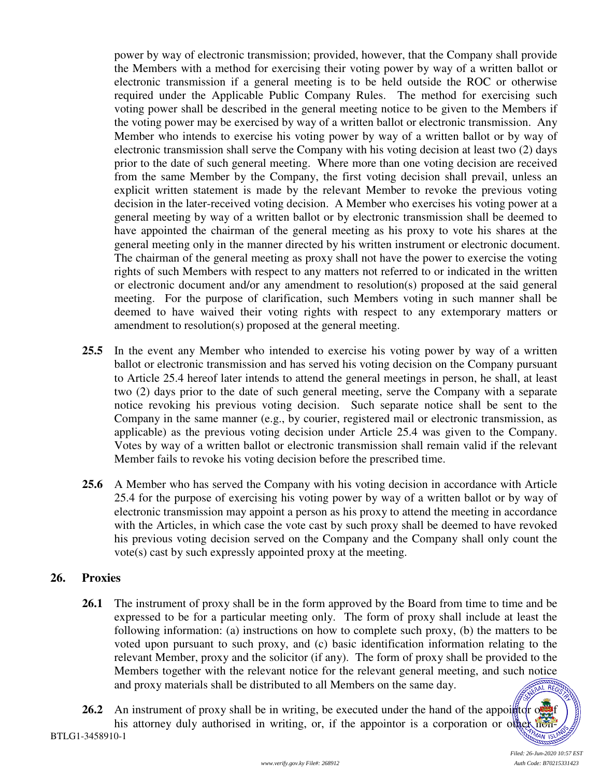power by way of electronic transmission; provided, however, that the Company shall provide the Members with a method for exercising their voting power by way of a written ballot or electronic transmission if a general meeting is to be held outside the ROC or otherwise required under the Applicable Public Company Rules. The method for exercising such voting power shall be described in the general meeting notice to be given to the Members if the voting power may be exercised by way of a written ballot or electronic transmission. Any Member who intends to exercise his voting power by way of a written ballot or by way of electronic transmission shall serve the Company with his voting decision at least two (2) days prior to the date of such general meeting. Where more than one voting decision are received from the same Member by the Company, the first voting decision shall prevail, unless an explicit written statement is made by the relevant Member to revoke the previous voting decision in the later-received voting decision. A Member who exercises his voting power at a general meeting by way of a written ballot or by electronic transmission shall be deemed to have appointed the chairman of the general meeting as his proxy to vote his shares at the general meeting only in the manner directed by his written instrument or electronic document. The chairman of the general meeting as proxy shall not have the power to exercise the voting rights of such Members with respect to any matters not referred to or indicated in the written or electronic document and/or any amendment to resolution(s) proposed at the said general meeting. For the purpose of clarification, such Members voting in such manner shall be deemed to have waived their voting rights with respect to any extemporary matters or amendment to resolution(s) proposed at the general meeting.

- **25.5** In the event any Member who intended to exercise his voting power by way of a written ballot or electronic transmission and has served his voting decision on the Company pursuant to Article 25.4 hereof later intends to attend the general meetings in person, he shall, at least two (2) days prior to the date of such general meeting, serve the Company with a separate notice revoking his previous voting decision. Such separate notice shall be sent to the Company in the same manner (e.g., by courier, registered mail or electronic transmission, as applicable) as the previous voting decision under Article 25.4 was given to the Company. Votes by way of a written ballot or electronic transmission shall remain valid if the relevant Member fails to revoke his voting decision before the prescribed time.
- **25.6** A Member who has served the Company with his voting decision in accordance with Article 25.4 for the purpose of exercising his voting power by way of a written ballot or by way of electronic transmission may appoint a person as his proxy to attend the meeting in accordance with the Articles, in which case the vote cast by such proxy shall be deemed to have revoked his previous voting decision served on the Company and the Company shall only count the vote(s) cast by such expressly appointed proxy at the meeting.

# **26. Proxies**

**26.1** The instrument of proxy shall be in the form approved by the Board from time to time and be expressed to be for a particular meeting only. The form of proxy shall include at least the following information: (a) instructions on how to complete such proxy, (b) the matters to be voted upon pursuant to such proxy, and (c) basic identification information relating to the relevant Member, proxy and the solicitor (if any). The form of proxy shall be provided to the Members together with the relevant notice for the relevant general meeting, and such notice and proxy materials shall be distributed to all Members on the same day. **AL REGIO** 

BTLG1-3458910-1 **26.2** An instrument of proxy shall be in writing, be executed under the hand of the appoint or order his attorney duly authorised in writing, or, if the appointor is a corporation or other non-

MAN<sub>IS</sub>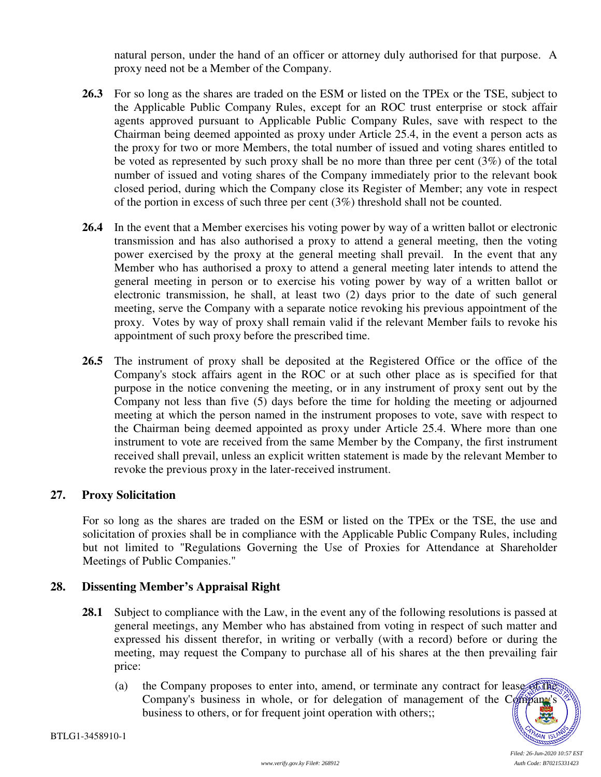natural person, under the hand of an officer or attorney duly authorised for that purpose. A proxy need not be a Member of the Company.

- **26.3** For so long as the shares are traded on the ESM or listed on the TPEx or the TSE, subject to the Applicable Public Company Rules, except for an ROC trust enterprise or stock affair agents approved pursuant to Applicable Public Company Rules, save with respect to the Chairman being deemed appointed as proxy under Article 25.4, in the event a person acts as the proxy for two or more Members, the total number of issued and voting shares entitled to be voted as represented by such proxy shall be no more than three per cent (3%) of the total number of issued and voting shares of the Company immediately prior to the relevant book closed period, during which the Company close its Register of Member; any vote in respect of the portion in excess of such three per cent (3%) threshold shall not be counted.
- **26.4** In the event that a Member exercises his voting power by way of a written ballot or electronic transmission and has also authorised a proxy to attend a general meeting, then the voting power exercised by the proxy at the general meeting shall prevail. In the event that any Member who has authorised a proxy to attend a general meeting later intends to attend the general meeting in person or to exercise his voting power by way of a written ballot or electronic transmission, he shall, at least two (2) days prior to the date of such general meeting, serve the Company with a separate notice revoking his previous appointment of the proxy. Votes by way of proxy shall remain valid if the relevant Member fails to revoke his appointment of such proxy before the prescribed time.
- **26.5** The instrument of proxy shall be deposited at the Registered Office or the office of the Company's stock affairs agent in the ROC or at such other place as is specified for that purpose in the notice convening the meeting, or in any instrument of proxy sent out by the Company not less than five (5) days before the time for holding the meeting or adjourned meeting at which the person named in the instrument proposes to vote, save with respect to the Chairman being deemed appointed as proxy under Article 25.4. Where more than one instrument to vote are received from the same Member by the Company, the first instrument received shall prevail, unless an explicit written statement is made by the relevant Member to revoke the previous proxy in the later-received instrument.

#### **27. Proxy Solicitation**

For so long as the shares are traded on the ESM or listed on the TPEx or the TSE, the use and solicitation of proxies shall be in compliance with the Applicable Public Company Rules, including but not limited to "Regulations Governing the Use of Proxies for Attendance at Shareholder Meetings of Public Companies."

# **28. Dissenting Member's Appraisal Right**

- **28.1** Subject to compliance with the Law, in the event any of the following resolutions is passed at general meetings, any Member who has abstained from voting in respect of such matter and expressed his dissent therefor, in writing or verbally (with a record) before or during the meeting, may request the Company to purchase all of his shares at the then prevailing fair price:
	- (a) the Company proposes to enter into, amend, or terminate any contract for lease of the Company's business in whole, or for delegation of management of the Company's business to others, or for frequent joint operation with others;;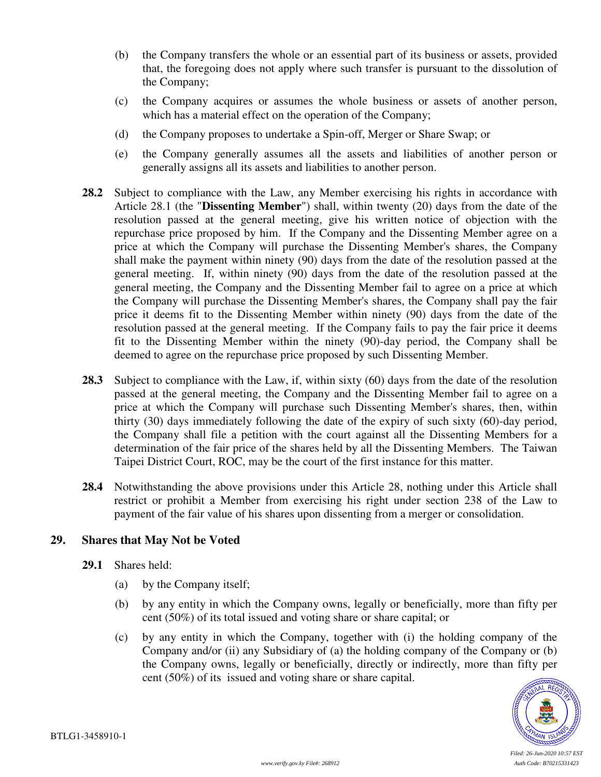- (b) the Company transfers the whole or an essential part of its business or assets, provided that, the foregoing does not apply where such transfer is pursuant to the dissolution of the Company;
- (c) the Company acquires or assumes the whole business or assets of another person, which has a material effect on the operation of the Company;
- (d) the Company proposes to undertake a Spin-off, Merger or Share Swap; or
- (e) the Company generally assumes all the assets and liabilities of another person or generally assigns all its assets and liabilities to another person.
- **28.2** Subject to compliance with the Law, any Member exercising his rights in accordance with Article 28.1 (the "**Dissenting Member**") shall, within twenty (20) days from the date of the resolution passed at the general meeting, give his written notice of objection with the repurchase price proposed by him. If the Company and the Dissenting Member agree on a price at which the Company will purchase the Dissenting Member's shares, the Company shall make the payment within ninety (90) days from the date of the resolution passed at the general meeting. If, within ninety (90) days from the date of the resolution passed at the general meeting, the Company and the Dissenting Member fail to agree on a price at which the Company will purchase the Dissenting Member's shares, the Company shall pay the fair price it deems fit to the Dissenting Member within ninety (90) days from the date of the resolution passed at the general meeting. If the Company fails to pay the fair price it deems fit to the Dissenting Member within the ninety (90)-day period, the Company shall be deemed to agree on the repurchase price proposed by such Dissenting Member.
- **28.3** Subject to compliance with the Law, if, within sixty (60) days from the date of the resolution passed at the general meeting, the Company and the Dissenting Member fail to agree on a price at which the Company will purchase such Dissenting Member's shares, then, within thirty (30) days immediately following the date of the expiry of such sixty (60)-day period, the Company shall file a petition with the court against all the Dissenting Members for a determination of the fair price of the shares held by all the Dissenting Members. The Taiwan Taipei District Court, ROC, may be the court of the first instance for this matter.
- **28.4** Notwithstanding the above provisions under this Article 28, nothing under this Article shall restrict or prohibit a Member from exercising his right under section 238 of the Law to payment of the fair value of his shares upon dissenting from a merger or consolidation.

# **29. Shares that May Not be Voted**

- **29.1** Shares held:
	- (a) by the Company itself;
	- (b) by any entity in which the Company owns, legally or beneficially, more than fifty per cent (50%) of its total issued and voting share or share capital; or
	- (c) by any entity in which the Company, together with (i) the holding company of the Company and/or (ii) any Subsidiary of (a) the holding company of the Company or (b) the Company owns, legally or beneficially, directly or indirectly, more than fifty per cent (50%) of its issued and voting share or share capital.



*Filed: 26-Jun-2020 10:57 EST*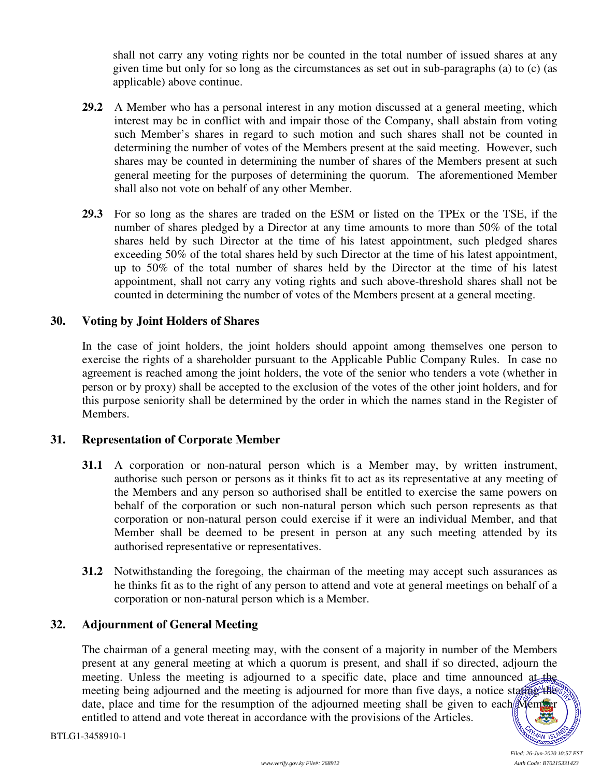shall not carry any voting rights nor be counted in the total number of issued shares at any given time but only for so long as the circumstances as set out in sub-paragraphs (a) to (c) (as applicable) above continue.

- **29.2** A Member who has a personal interest in any motion discussed at a general meeting, which interest may be in conflict with and impair those of the Company, shall abstain from voting such Member's shares in regard to such motion and such shares shall not be counted in determining the number of votes of the Members present at the said meeting. However, such shares may be counted in determining the number of shares of the Members present at such general meeting for the purposes of determining the quorum. The aforementioned Member shall also not vote on behalf of any other Member.
- **29.3** For so long as the shares are traded on the ESM or listed on the TPEx or the TSE, if the number of shares pledged by a Director at any time amounts to more than 50% of the total shares held by such Director at the time of his latest appointment, such pledged shares exceeding 50% of the total shares held by such Director at the time of his latest appointment, up to 50% of the total number of shares held by the Director at the time of his latest appointment, shall not carry any voting rights and such above-threshold shares shall not be counted in determining the number of votes of the Members present at a general meeting.

# **30. Voting by Joint Holders of Shares**

In the case of joint holders, the joint holders should appoint among themselves one person to exercise the rights of a shareholder pursuant to the Applicable Public Company Rules.In case no agreement is reached among the joint holders, the vote of the senior who tenders a vote (whether in person or by proxy) shall be accepted to the exclusion of the votes of the other joint holders, and for this purpose seniority shall be determined by the order in which the names stand in the Register of Members.

# **31. Representation of Corporate Member**

- **31.1** A corporation or non-natural person which is a Member may, by written instrument, authorise such person or persons as it thinks fit to act as its representative at any meeting of the Members and any person so authorised shall be entitled to exercise the same powers on behalf of the corporation or such non-natural person which such person represents as that corporation or non-natural person could exercise if it were an individual Member, and that Member shall be deemed to be present in person at any such meeting attended by its authorised representative or representatives.
- **31.2** Notwithstanding the foregoing, the chairman of the meeting may accept such assurances as he thinks fit as to the right of any person to attend and vote at general meetings on behalf of a corporation or non-natural person which is a Member.

# **32. Adjournment of General Meeting**

The chairman of a general meeting may, with the consent of a majority in number of the Members present at any general meeting at which a quorum is present, and shall if so directed, adjourn the meeting. Unless the meeting is adjourned to a specific date, place and time announced at the meeting being adjourned and the meeting is adjourned for more than five days, a notice starting the date, place and time for the resumption of the adjourned meeting shall be given to each Member entitled to attend and vote thereat in accordance with the provisions of the Articles.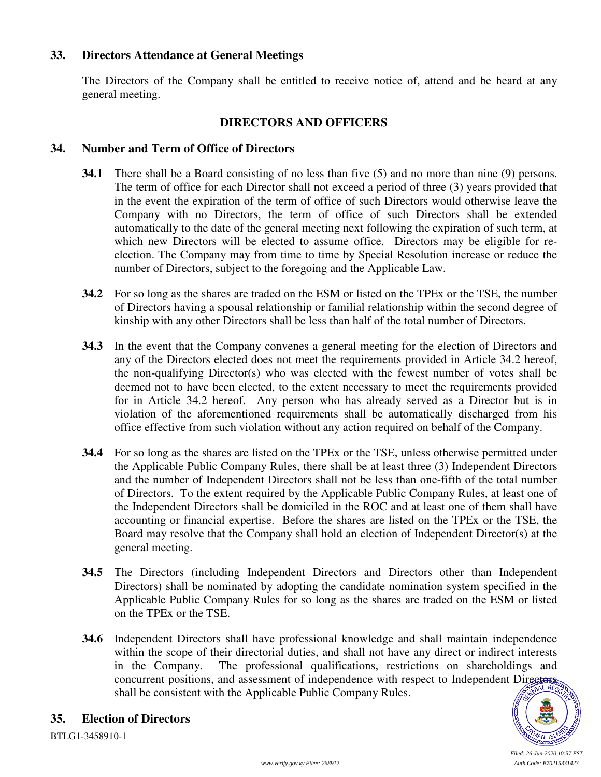# **33. Directors Attendance at General Meetings**

The Directors of the Company shall be entitled to receive notice of, attend and be heard at any general meeting.

#### **DIRECTORS AND OFFICERS**

#### **34. Number and Term of Office of Directors**

- **34.1** There shall be a Board consisting of no less than five (5) and no more than nine (9) persons. The term of office for each Director shall not exceed a period of three (3) years provided that in the event the expiration of the term of office of such Directors would otherwise leave the Company with no Directors, the term of office of such Directors shall be extended automatically to the date of the general meeting next following the expiration of such term, at which new Directors will be elected to assume office. Directors may be eligible for reelection. The Company may from time to time by Special Resolution increase or reduce the number of Directors, subject to the foregoing and the Applicable Law.
- **34.2** For so long as the shares are traded on the ESM or listed on the TPEx or the TSE, the number of Directors having a spousal relationship or familial relationship within the second degree of kinship with any other Directors shall be less than half of the total number of Directors.
- **34.3** In the event that the Company convenes a general meeting for the election of Directors and any of the Directors elected does not meet the requirements provided in Article 34.2 hereof, the non-qualifying Director(s) who was elected with the fewest number of votes shall be deemed not to have been elected, to the extent necessary to meet the requirements provided for in Article 34.2 hereof. Any person who has already served as a Director but is in violation of the aforementioned requirements shall be automatically discharged from his office effective from such violation without any action required on behalf of the Company.
- **34.4** For so long as the shares are listed on the TPEx or the TSE, unless otherwise permitted under the Applicable Public Company Rules, there shall be at least three (3) Independent Directors and the number of Independent Directors shall not be less than one-fifth of the total number of Directors. To the extent required by the Applicable Public Company Rules, at least one of the Independent Directors shall be domiciled in the ROC and at least one of them shall have accounting or financial expertise. Before the shares are listed on the TPEx or the TSE, the Board may resolve that the Company shall hold an election of Independent Director(s) at the general meeting.
- **34.5** The Directors (including Independent Directors and Directors other than Independent Directors) shall be nominated by adopting the candidate nomination system specified in the Applicable Public Company Rules for so long as the shares are traded on the ESM or listed on the TPEx or the TSE.
- **34.6** Independent Directors shall have professional knowledge and shall maintain independence within the scope of their directorial duties, and shall not have any direct or indirect interests in the Company. The professional qualifications, restrictions on shareholdings and concurrent positions, and assessment of independence with respect to Independent Directors shall be consistent with the Applicable Public Company Rules.



# **35. Election of Directors**

BTLG1-3458910-1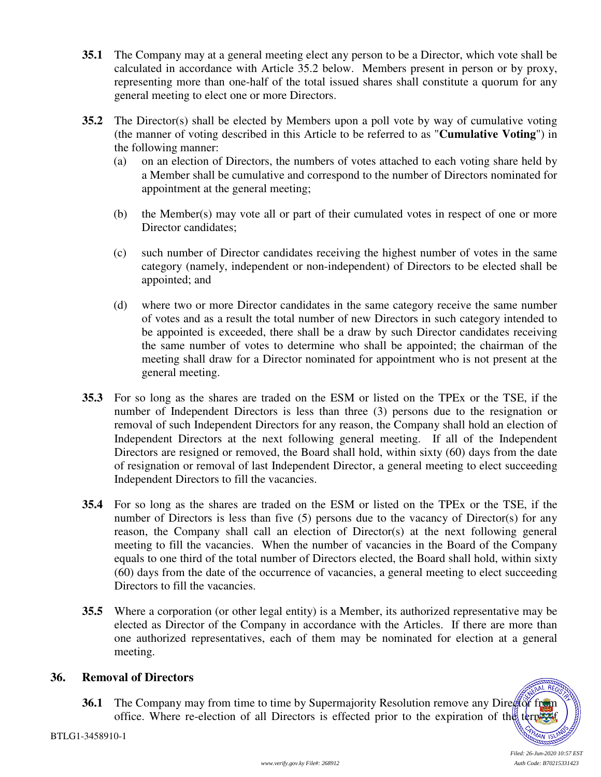- **35.1** The Company may at a general meeting elect any person to be a Director, which vote shall be calculated in accordance with Article 35.2 below. Members present in person or by proxy, representing more than one-half of the total issued shares shall constitute a quorum for any general meeting to elect one or more Directors.
- **35.2** The Director(s) shall be elected by Members upon a poll vote by way of cumulative voting (the manner of voting described in this Article to be referred to as "**Cumulative Voting**") in the following manner:
	- (a) on an election of Directors, the numbers of votes attached to each voting share held by a Member shall be cumulative and correspond to the number of Directors nominated for appointment at the general meeting;
	- (b) the Member(s) may vote all or part of their cumulated votes in respect of one or more Director candidates;
	- (c) such number of Director candidates receiving the highest number of votes in the same category (namely, independent or non-independent) of Directors to be elected shall be appointed; and
	- (d) where two or more Director candidates in the same category receive the same number of votes and as a result the total number of new Directors in such category intended to be appointed is exceeded, there shall be a draw by such Director candidates receiving the same number of votes to determine who shall be appointed; the chairman of the meeting shall draw for a Director nominated for appointment who is not present at the general meeting.
- **35.3** For so long as the shares are traded on the ESM or listed on the TPEx or the TSE, if the number of Independent Directors is less than three (3) persons due to the resignation or removal of such Independent Directors for any reason, the Company shall hold an election of Independent Directors at the next following general meeting. If all of the Independent Directors are resigned or removed, the Board shall hold, within sixty (60) days from the date of resignation or removal of last Independent Director, a general meeting to elect succeeding Independent Directors to fill the vacancies.
- **35.4** For so long as the shares are traded on the ESM or listed on the TPEx or the TSE, if the number of Directors is less than five (5) persons due to the vacancy of Director(s) for any reason, the Company shall call an election of Director(s) at the next following general meeting to fill the vacancies. When the number of vacancies in the Board of the Company equals to one third of the total number of Directors elected, the Board shall hold, within sixty (60) days from the date of the occurrence of vacancies, a general meeting to elect succeeding Directors to fill the vacancies.
- **35.5** Where a corporation (or other legal entity) is a Member, its authorized representative may be elected as Director of the Company in accordance with the Articles. If there are more than one authorized representatives, each of them may be nominated for election at a general meeting.

# **36. Removal of Directors**

**36.1** The Company may from time to time by Supermajority Resolution remove any Director from office. Where re-election of all Directors is effected prior to the expiration of the term of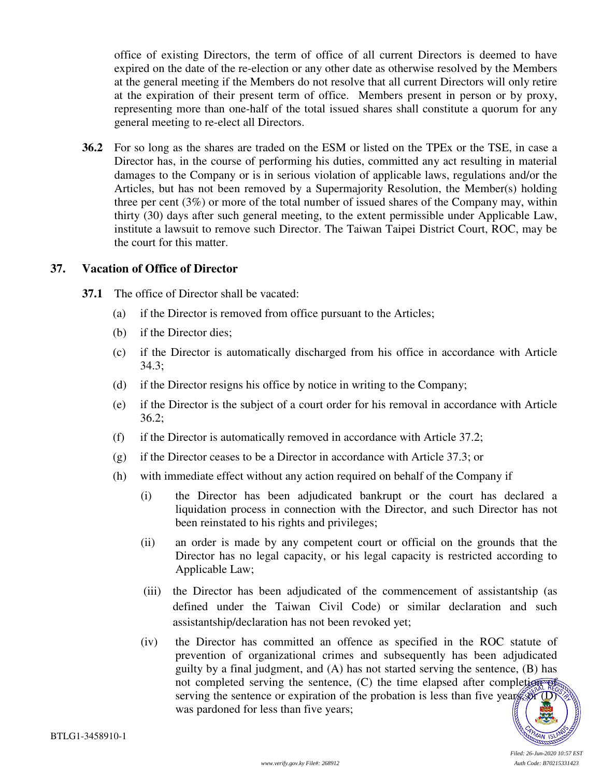office of existing Directors, the term of office of all current Directors is deemed to have expired on the date of the re-election or any other date as otherwise resolved by the Members at the general meeting if the Members do not resolve that all current Directors will only retire at the expiration of their present term of office. Members present in person or by proxy, representing more than one-half of the total issued shares shall constitute a quorum for any general meeting to re-elect all Directors.

**36.2** For so long as the shares are traded on the ESM or listed on the TPEx or the TSE, in case a Director has, in the course of performing his duties, committed any act resulting in material damages to the Company or is in serious violation of applicable laws, regulations and/or the Articles, but has not been removed by a Supermajority Resolution, the Member(s) holding three per cent (3%) or more of the total number of issued shares of the Company may, within thirty (30) days after such general meeting, to the extent permissible under Applicable Law, institute a lawsuit to remove such Director. The Taiwan Taipei District Court, ROC, may be the court for this matter.

#### **37. Vacation of Office of Director**

- **37.1** The office of Director shall be vacated:
	- (a) if the Director is removed from office pursuant to the Articles;
	- (b) if the Director dies;
	- (c) if the Director is automatically discharged from his office in accordance with Article 34.3;
	- (d) if the Director resigns his office by notice in writing to the Company;
	- (e) if the Director is the subject of a court order for his removal in accordance with Article 36.2;
	- (f) if the Director is automatically removed in accordance with Article 37.2;
	- (g) if the Director ceases to be a Director in accordance with Article 37.3; or
	- (h) with immediate effect without any action required on behalf of the Company if
		- (i) the Director has been adjudicated bankrupt or the court has declared a liquidation process in connection with the Director, and such Director has not been reinstated to his rights and privileges;
		- (ii) an order is made by any competent court or official on the grounds that the Director has no legal capacity, or his legal capacity is restricted according to Applicable Law;
		- (iii) the Director has been adjudicated of the commencement of assistantship (as defined under the Taiwan Civil Code) or similar declaration and such assistantship/declaration has not been revoked yet;
		- (iv) the Director has committed an offence as specified in the ROC statute of prevention of organizational crimes and subsequently has been adjudicated guilty by a final judgment, and (A) has not started serving the sentence, (B) has not completed serving the sentence,  $(C)$  the time elapsed after completion of serving the sentence or expiration of the probation is less than five years, or  $\overline{(\mathbf{D})}$ was pardoned for less than five years;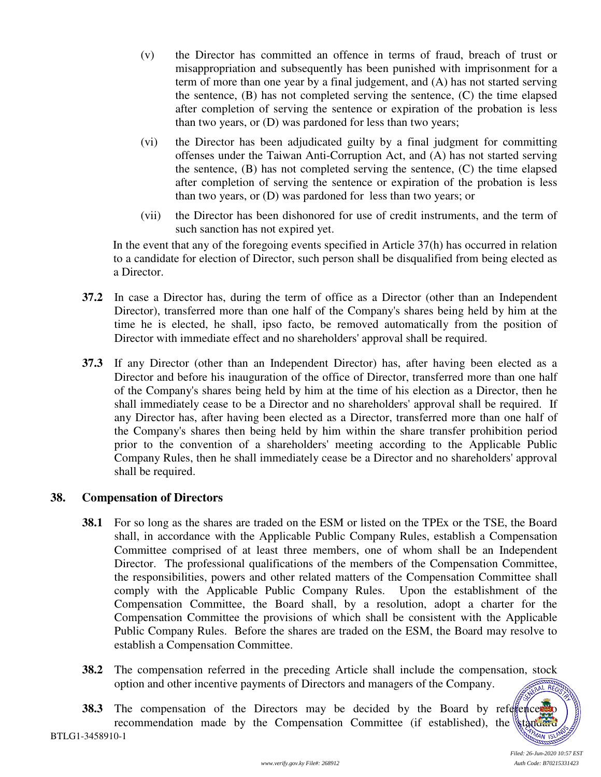- (v) the Director has committed an offence in terms of fraud, breach of trust or misappropriation and subsequently has been punished with imprisonment for a term of more than one year by a final judgement, and (A) has not started serving the sentence, (B) has not completed serving the sentence, (C) the time elapsed after completion of serving the sentence or expiration of the probation is less than two years, or (D) was pardoned for less than two years;
- (vi) the Director has been adjudicated guilty by a final judgment for committing offenses under the Taiwan Anti-Corruption Act, and (A) has not started serving the sentence, (B) has not completed serving the sentence, (C) the time elapsed after completion of serving the sentence or expiration of the probation is less than two years, or (D) was pardoned for less than two years; or
- (vii) the Director has been dishonored for use of credit instruments, and the term of such sanction has not expired yet.

In the event that any of the foregoing events specified in Article 37(h) has occurred in relation to a candidate for election of Director, such person shall be disqualified from being elected as a Director.

- **37.2** In case a Director has, during the term of office as a Director (other than an Independent Director), transferred more than one half of the Company's shares being held by him at the time he is elected, he shall, ipso facto, be removed automatically from the position of Director with immediate effect and no shareholders' approval shall be required.
- **37.3** If any Director (other than an Independent Director) has, after having been elected as a Director and before his inauguration of the office of Director, transferred more than one half of the Company's shares being held by him at the time of his election as a Director, then he shall immediately cease to be a Director and no shareholders' approval shall be required. If any Director has, after having been elected as a Director, transferred more than one half of the Company's shares then being held by him within the share transfer prohibition period prior to the convention of a shareholders' meeting according to the Applicable Public Company Rules, then he shall immediately cease be a Director and no shareholders' approval shall be required.

# **38. Compensation of Directors**

- **38.1** For so long as the shares are traded on the ESM or listed on the TPEx or the TSE, the Board shall, in accordance with the Applicable Public Company Rules, establish a Compensation Committee comprised of at least three members, one of whom shall be an Independent Director. The professional qualifications of the members of the Compensation Committee, the responsibilities, powers and other related matters of the Compensation Committee shall comply with the Applicable Public Company Rules. Upon the establishment of the Compensation Committee, the Board shall, by a resolution, adopt a charter for the Compensation Committee the provisions of which shall be consistent with the Applicable Public Company Rules. Before the shares are traded on the ESM, the Board may resolve to establish a Compensation Committee.
- **38.2** The compensation referred in the preceding Article shall include the compensation, stock option and other incentive payments of Directors and managers of the Company. *SSSSSSSS*<br>AL AEG
- **38.3** The compensation of the Directors may be decided by the Board by reference recommendation made by the Compensation Committee (if established), the standard

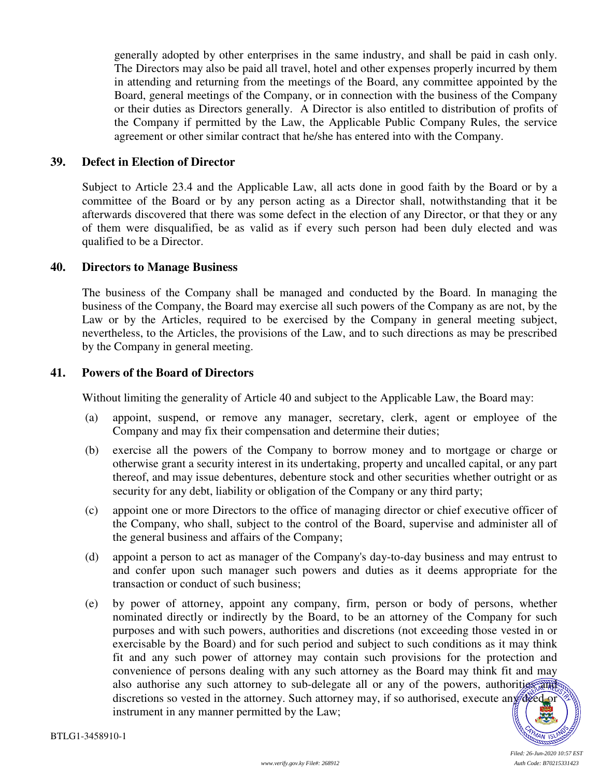generally adopted by other enterprises in the same industry, and shall be paid in cash only. The Directors may also be paid all travel, hotel and other expenses properly incurred by them in attending and returning from the meetings of the Board, any committee appointed by the Board, general meetings of the Company, or in connection with the business of the Company or their duties as Directors generally. A Director is also entitled to distribution of profits of the Company if permitted by the Law, the Applicable Public Company Rules, the service agreement or other similar contract that he/she has entered into with the Company.

#### **39. Defect in Election of Director**

Subject to Article 23.4 and the Applicable Law, all acts done in good faith by the Board or by a committee of the Board or by any person acting as a Director shall, notwithstanding that it be afterwards discovered that there was some defect in the election of any Director, or that they or any of them were disqualified, be as valid as if every such person had been duly elected and was qualified to be a Director.

#### **40. Directors to Manage Business**

The business of the Company shall be managed and conducted by the Board. In managing the business of the Company, the Board may exercise all such powers of the Company as are not, by the Law or by the Articles, required to be exercised by the Company in general meeting subject, nevertheless, to the Articles, the provisions of the Law, and to such directions as may be prescribed by the Company in general meeting.

#### **41. Powers of the Board of Directors**

Without limiting the generality of Article 40 and subject to the Applicable Law, the Board may:

- (a) appoint, suspend, or remove any manager, secretary, clerk, agent or employee of the Company and may fix their compensation and determine their duties;
- (b) exercise all the powers of the Company to borrow money and to mortgage or charge or otherwise grant a security interest in its undertaking, property and uncalled capital, or any part thereof, and may issue debentures, debenture stock and other securities whether outright or as security for any debt, liability or obligation of the Company or any third party;
- (c) appoint one or more Directors to the office of managing director or chief executive officer of the Company, who shall, subject to the control of the Board, supervise and administer all of the general business and affairs of the Company;
- (d) appoint a person to act as manager of the Company's day-to-day business and may entrust to and confer upon such manager such powers and duties as it deems appropriate for the transaction or conduct of such business;
- (e) by power of attorney, appoint any company, firm, person or body of persons, whether nominated directly or indirectly by the Board, to be an attorney of the Company for such purposes and with such powers, authorities and discretions (not exceeding those vested in or exercisable by the Board) and for such period and subject to such conditions as it may think fit and any such power of attorney may contain such provisions for the protection and convenience of persons dealing with any such attorney as the Board may think fit and may also authorise any such attorney to sub-delegate all or any of the powers, authorities and discretions so vested in the attorney. Such attorney may, if so authorised, execute any deed or instrument in any manner permitted by the Law;

4M IS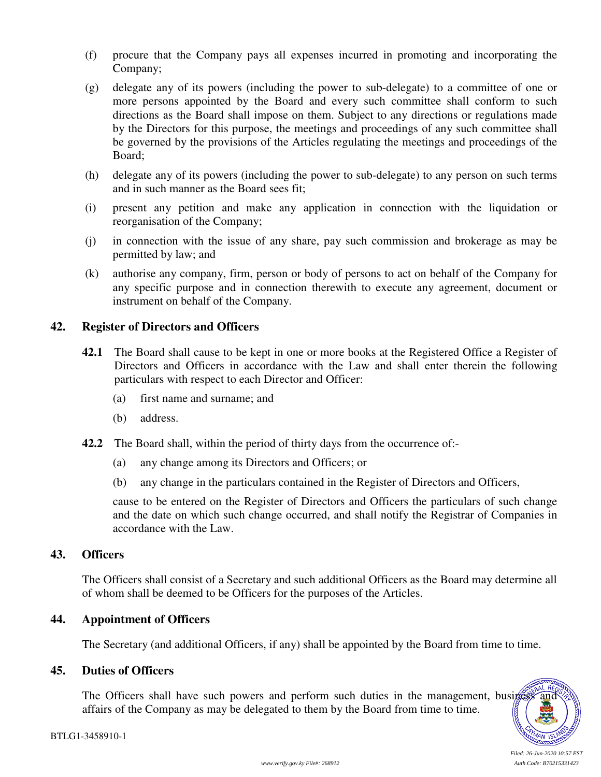- (f) procure that the Company pays all expenses incurred in promoting and incorporating the Company;
- (g) delegate any of its powers (including the power to sub-delegate) to a committee of one or more persons appointed by the Board and every such committee shall conform to such directions as the Board shall impose on them. Subject to any directions or regulations made by the Directors for this purpose, the meetings and proceedings of any such committee shall be governed by the provisions of the Articles regulating the meetings and proceedings of the Board;
- (h) delegate any of its powers (including the power to sub-delegate) to any person on such terms and in such manner as the Board sees fit;
- (i) present any petition and make any application in connection with the liquidation or reorganisation of the Company;
- (j) in connection with the issue of any share, pay such commission and brokerage as may be permitted by law; and
- (k) authorise any company, firm, person or body of persons to act on behalf of the Company for any specific purpose and in connection therewith to execute any agreement, document or instrument on behalf of the Company.

#### **42. Register of Directors and Officers**

- **42.1** The Board shall cause to be kept in one or more books at the Registered Office a Register of Directors and Officers in accordance with the Law and shall enter therein the following particulars with respect to each Director and Officer:
	- (a) first name and surname; and
	- (b) address.
- **42.2** The Board shall, within the period of thirty days from the occurrence of:-
	- (a) any change among its Directors and Officers; or
	- (b) any change in the particulars contained in the Register of Directors and Officers,

cause to be entered on the Register of Directors and Officers the particulars of such change and the date on which such change occurred, and shall notify the Registrar of Companies in accordance with the Law.

#### **43. Officers**

The Officers shall consist of a Secretary and such additional Officers as the Board may determine all of whom shall be deemed to be Officers for the purposes of the Articles.

#### **44. Appointment of Officers**

The Secretary (and additional Officers, if any) shall be appointed by the Board from time to time.

# **45. Duties of Officers**

The Officers shall have such powers and perform such duties in the management, business affairs of the Company as may be delegated to them by the Board from time to time.

AL RE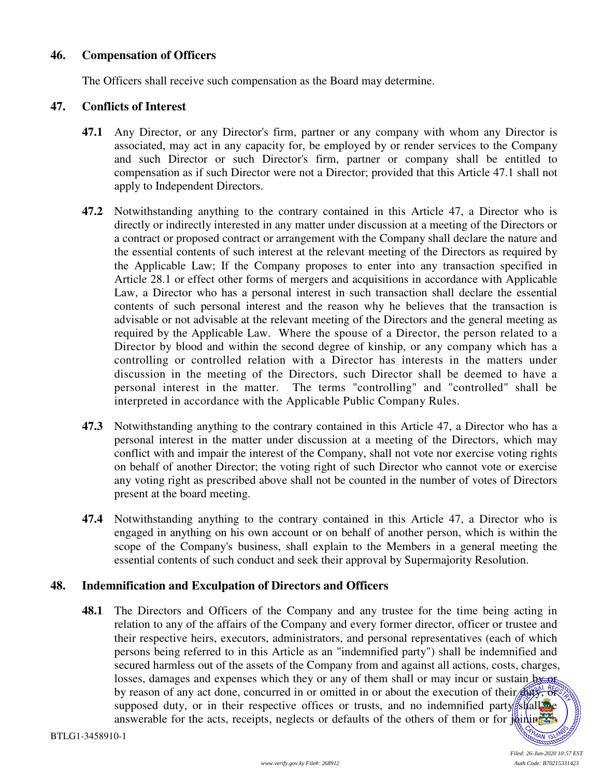#### **46. Compensation of Officers**

The Officers shall receive such compensation as the Board may determine.

#### **47. Conflicts of Interest**

- **47.1** Any Director, or any Director's firm, partner or any company with whom any Director is associated, may act in any capacity for, be employed by or render services to the Company and such Director or such Director's firm, partner or company shall be entitled to compensation as if such Director were not a Director; provided that this Article 47.1 shall not apply to Independent Directors.
- **47.2** Notwithstanding anything to the contrary contained in this Article 47, a Director who is directly or indirectly interested in any matter under discussion at a meeting of the Directors or a contract or proposed contract or arrangement with the Company shall declare the nature and the essential contents of such interest at the relevant meeting of the Directors as required by the Applicable Law; If the Company proposes to enter into any transaction specified in Article 28.1 or effect other forms of mergers and acquisitions in accordance with Applicable Law, a Director who has a personal interest in such transaction shall declare the essential contents of such personal interest and the reason why he believes that the transaction is advisable or not advisable at the relevant meeting of the Directors and the general meeting as required by the Applicable Law. Where the spouse of a Director, the person related to a Director by blood and within the second degree of kinship, or any company which has a controlling or controlled relation with a Director has interests in the matters under discussion in the meeting of the Directors, such Director shall be deemed to have a personal interest in the matter. The terms "controlling" and "controlled" shall be interpreted in accordance with the Applicable Public Company Rules.
- **47.3** Notwithstanding anything to the contrary contained in this Article 47, a Director who has a personal interest in the matter under discussion at a meeting of the Directors, which may conflict with and impair the interest of the Company, shall not vote nor exercise voting rights on behalf of another Director; the voting right of such Director who cannot vote or exercise any voting right as prescribed above shall not be counted in the number of votes of Directors present at the board meeting.
- **47.4** Notwithstanding anything to the contrary contained in this Article 47, a Director who is engaged in anything on his own account or on behalf of another person, which is within the scope of the Company's business, shall explain to the Members in a general meeting the essential contents of such conduct and seek their approval by Supermajority Resolution.

#### **48. Indemnification and Exculpation of Directors and Officers**

**48.1** The Directors and Officers of the Company and any trustee for the time being acting in relation to any of the affairs of the Company and every former director, officer or trustee and their respective heirs, executors, administrators, and personal representatives (each of which persons being referred to in this Article as an "indemnified party") shall be indemnified and secured harmless out of the assets of the Company from and against all actions, costs, charges, losses, damages and expenses which they or any of them shall or may incur or sustain by or by reason of any act done, concurred in or omitted in or about the execution of their  $\frac{d}{dx}$ supposed duty, or in their respective offices or trusts, and no indemnified party shall be answerable for the acts, receipts, neglects or defaults of the others of them or for  $\frac{1}{2}$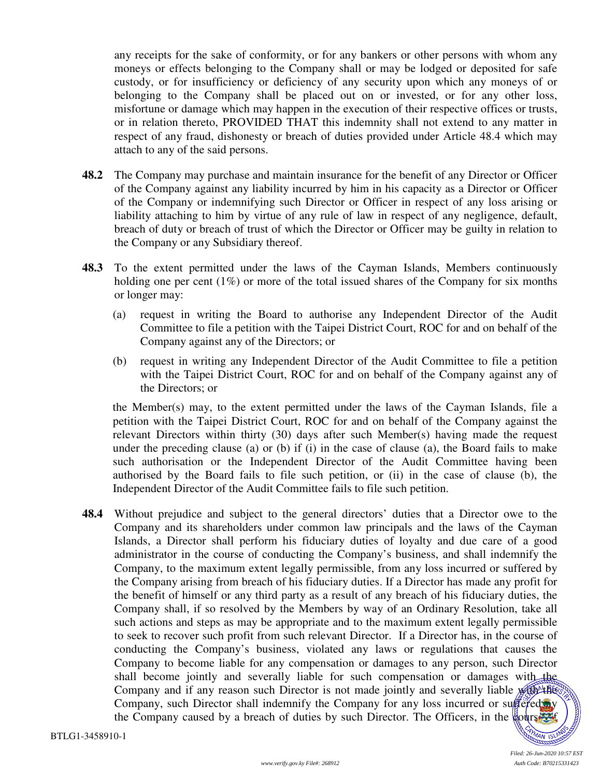any receipts for the sake of conformity, or for any bankers or other persons with whom any moneys or effects belonging to the Company shall or may be lodged or deposited for safe custody, or for insufficiency or deficiency of any security upon which any moneys of or belonging to the Company shall be placed out on or invested, or for any other loss, misfortune or damage which may happen in the execution of their respective offices or trusts, or in relation thereto, PROVIDED THAT this indemnity shall not extend to any matter in respect of any fraud, dishonesty or breach of duties provided under Article 48.4 which may attach to any of the said persons.

- **48.2** The Company may purchase and maintain insurance for the benefit of any Director or Officer of the Company against any liability incurred by him in his capacity as a Director or Officer of the Company or indemnifying such Director or Officer in respect of any loss arising or liability attaching to him by virtue of any rule of law in respect of any negligence, default, breach of duty or breach of trust of which the Director or Officer may be guilty in relation to the Company or any Subsidiary thereof.
- **48.3** To the extent permitted under the laws of the Cayman Islands, Members continuously holding one per cent (1%) or more of the total issued shares of the Company for six months or longer may:
	- (a) request in writing the Board to authorise any Independent Director of the Audit Committee to file a petition with the Taipei District Court, ROC for and on behalf of the Company against any of the Directors; or
	- (b) request in writing any Independent Director of the Audit Committee to file a petition with the Taipei District Court, ROC for and on behalf of the Company against any of the Directors; or

the Member(s) may, to the extent permitted under the laws of the Cayman Islands, file a petition with the Taipei District Court, ROC for and on behalf of the Company against the relevant Directors within thirty (30) days after such Member(s) having made the request under the preceding clause (a) or (b) if (i) in the case of clause (a), the Board fails to make such authorisation or the Independent Director of the Audit Committee having been authorised by the Board fails to file such petition, or (ii) in the case of clause (b), the Independent Director of the Audit Committee fails to file such petition.

**48.4** Without prejudice and subject to the general directors' duties that a Director owe to the Company and its shareholders under common law principals and the laws of the Cayman Islands, a Director shall perform his fiduciary duties of loyalty and due care of a good administrator in the course of conducting the Company's business, and shall indemnify the Company, to the maximum extent legally permissible, from any loss incurred or suffered by the Company arising from breach of his fiduciary duties. If a Director has made any profit for the benefit of himself or any third party as a result of any breach of his fiduciary duties, the Company shall, if so resolved by the Members by way of an Ordinary Resolution, take all such actions and steps as may be appropriate and to the maximum extent legally permissible to seek to recover such profit from such relevant Director. If a Director has, in the course of conducting the Company's business, violated any laws or regulations that causes the Company to become liable for any compensation or damages to any person, such Director shall become jointly and severally liable for such compensation or damages with the Company and if any reason such Director is not made jointly and severally liable with the Company, such Director shall indemnify the Company for any loss incurred or suffered by the Company caused by a breach of duties by such Director. The Officers, in the course of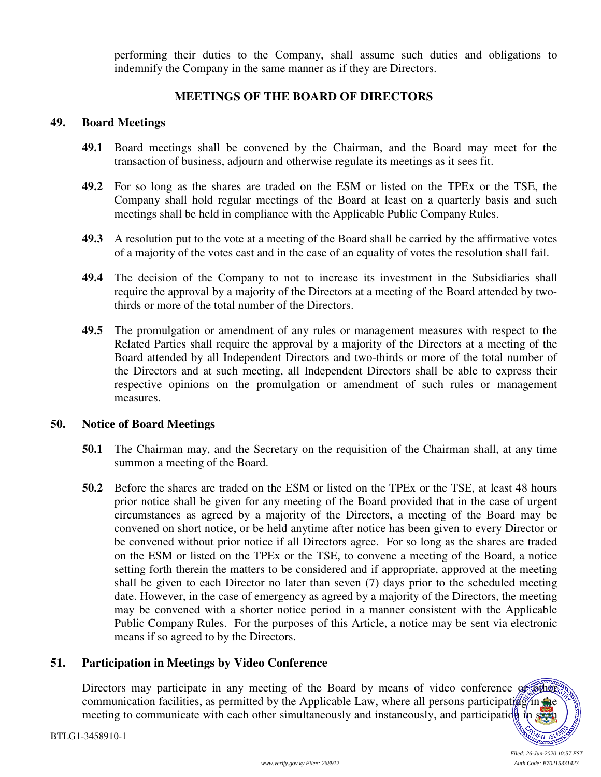performing their duties to the Company, shall assume such duties and obligations to indemnify the Company in the same manner as if they are Directors.

# **MEETINGS OF THE BOARD OF DIRECTORS**

#### **49. Board Meetings**

- **49.1** Board meetings shall be convened by the Chairman, and the Board may meet for the transaction of business, adjourn and otherwise regulate its meetings as it sees fit.
- **49.2** For so long as the shares are traded on the ESM or listed on the TPEx or the TSE, the Company shall hold regular meetings of the Board at least on a quarterly basis and such meetings shall be held in compliance with the Applicable Public Company Rules.
- **49.3** A resolution put to the vote at a meeting of the Board shall be carried by the affirmative votes of a majority of the votes cast and in the case of an equality of votes the resolution shall fail.
- **49.4** The decision of the Company to not to increase its investment in the Subsidiaries shall require the approval by a majority of the Directors at a meeting of the Board attended by twothirds or more of the total number of the Directors.
- **49.5** The promulgation or amendment of any rules or management measures with respect to the Related Parties shall require the approval by a majority of the Directors at a meeting of the Board attended by all Independent Directors and two-thirds or more of the total number of the Directors and at such meeting, all Independent Directors shall be able to express their respective opinions on the promulgation or amendment of such rules or management measures.

# **50. Notice of Board Meetings**

- **50.1** The Chairman may, and the Secretary on the requisition of the Chairman shall, at any time summon a meeting of the Board.
- **50.2** Before the shares are traded on the ESM or listed on the TPEx or the TSE, at least 48 hours prior notice shall be given for any meeting of the Board provided that in the case of urgent circumstances as agreed by a majority of the Directors, a meeting of the Board may be convened on short notice, or be held anytime after notice has been given to every Director or be convened without prior notice if all Directors agree. For so long as the shares are traded on the ESM or listed on the TPEx or the TSE, to convene a meeting of the Board, a notice setting forth therein the matters to be considered and if appropriate, approved at the meeting shall be given to each Director no later than seven (7) days prior to the scheduled meeting date. However, in the case of emergency as agreed by a majority of the Directors, the meeting may be convened with a shorter notice period in a manner consistent with the Applicable Public Company Rules. For the purposes of this Article, a notice may be sent via electronic means if so agreed to by the Directors.

# **51. Participation in Meetings by Video Conference**

Directors may participate in any meeting of the Board by means of video conference of other communication facilities, as permitted by the Applicable Law, where all persons participating in the meeting to communicate with each other simultaneously and instaneously, and participation in state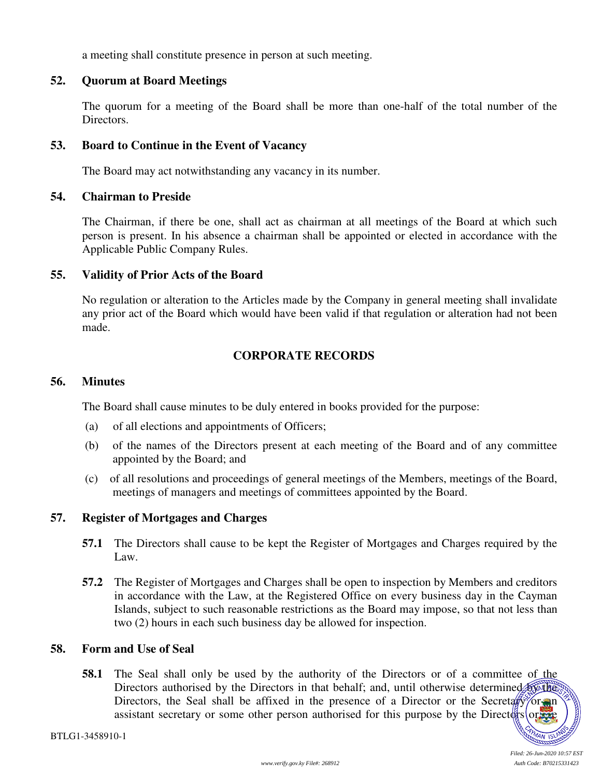a meeting shall constitute presence in person at such meeting.

#### **52. Quorum at Board Meetings**

The quorum for a meeting of the Board shall be more than one-half of the total number of the Directors.

#### **53. Board to Continue in the Event of Vacancy**

The Board may act notwithstanding any vacancy in its number.

#### **54. Chairman to Preside**

The Chairman, if there be one, shall act as chairman at all meetings of the Board at which such person is present. In his absence a chairman shall be appointed or elected in accordance with the Applicable Public Company Rules.

# **55. Validity of Prior Acts of the Board**

No regulation or alteration to the Articles made by the Company in general meeting shall invalidate any prior act of the Board which would have been valid if that regulation or alteration had not been made.

# **CORPORATE RECORDS**

#### **56. Minutes**

The Board shall cause minutes to be duly entered in books provided for the purpose:

- (a) of all elections and appointments of Officers;
- (b) of the names of the Directors present at each meeting of the Board and of any committee appointed by the Board; and
- (c) of all resolutions and proceedings of general meetings of the Members, meetings of the Board, meetings of managers and meetings of committees appointed by the Board.

# **57. Register of Mortgages and Charges**

- **57.1** The Directors shall cause to be kept the Register of Mortgages and Charges required by the Law.
- **57.2** The Register of Mortgages and Charges shall be open to inspection by Members and creditors in accordance with the Law, at the Registered Office on every business day in the Cayman Islands, subject to such reasonable restrictions as the Board may impose, so that not less than two (2) hours in each such business day be allowed for inspection.

#### **58. Form and Use of Seal**

**58.1** The Seal shall only be used by the authority of the Directors or of a committee of the Directors authorised by the Directors in that behalf; and, until otherwise determined by the Directors, the Seal shall be affixed in the presence of a Director or the Secretary or an assistant secretary or some other person authorised for this purpose by the Directors or  $\frac{1}{2}$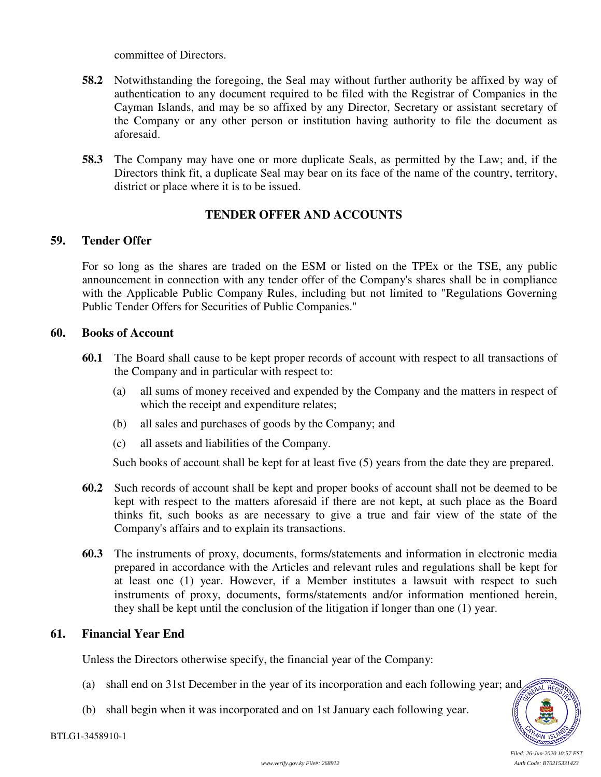committee of Directors.

- **58.2** Notwithstanding the foregoing, the Seal may without further authority be affixed by way of authentication to any document required to be filed with the Registrar of Companies in the Cayman Islands, and may be so affixed by any Director, Secretary or assistant secretary of the Company or any other person or institution having authority to file the document as aforesaid.
- **58.3** The Company may have one or more duplicate Seals, as permitted by the Law; and, if the Directors think fit, a duplicate Seal may bear on its face of the name of the country, territory, district or place where it is to be issued.

# **TENDER OFFER AND ACCOUNTS**

#### **59. Tender Offer**

For so long as the shares are traded on the ESM or listed on the TPEx or the TSE, any public announcement in connection with any tender offer of the Company's shares shall be in compliance with the Applicable Public Company Rules, including but not limited to "Regulations Governing Public Tender Offers for Securities of Public Companies."

#### **60. Books of Account**

- **60.1** The Board shall cause to be kept proper records of account with respect to all transactions of the Company and in particular with respect to:
	- (a) all sums of money received and expended by the Company and the matters in respect of which the receipt and expenditure relates;
	- (b) all sales and purchases of goods by the Company; and
	- (c) all assets and liabilities of the Company.

Such books of account shall be kept for at least five (5) years from the date they are prepared.

- **60.2** Such records of account shall be kept and proper books of account shall not be deemed to be kept with respect to the matters aforesaid if there are not kept, at such place as the Board thinks fit, such books as are necessary to give a true and fair view of the state of the Company's affairs and to explain its transactions.
- **60.3** The instruments of proxy, documents, forms/statements and information in electronic media prepared in accordance with the Articles and relevant rules and regulations shall be kept for at least one (1) year. However, if a Member institutes a lawsuit with respect to such instruments of proxy, documents, forms/statements and/or information mentioned herein, they shall be kept until the conclusion of the litigation if longer than one (1) year.

#### **61. Financial Year End**

Unless the Directors otherwise specify, the financial year of the Company:

- (a) shall end on 31st December in the year of its incorporation and each following year; and
- (b) shall begin when it was incorporated and on 1st January each following year.

AL RE

*Filed: 26-Jun-2020 10:57 EST*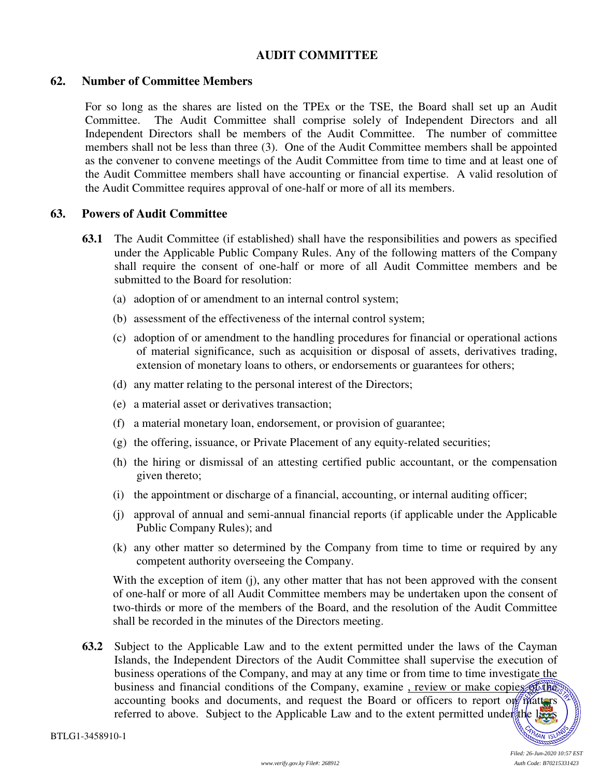# **AUDIT COMMITTEE**

#### **62. Number of Committee Members**

For so long as the shares are listed on the TPEx or the TSE, the Board shall set up an Audit Committee. The Audit Committee shall comprise solely of Independent Directors and all Independent Directors shall be members of the Audit Committee. The number of committee members shall not be less than three (3). One of the Audit Committee members shall be appointed as the convener to convene meetings of the Audit Committee from time to time and at least one of the Audit Committee members shall have accounting or financial expertise. A valid resolution of the Audit Committee requires approval of one-half or more of all its members.

#### **63. Powers of Audit Committee**

- **63.1** The Audit Committee (if established) shall have the responsibilities and powers as specified under the Applicable Public Company Rules. Any of the following matters of the Company shall require the consent of one-half or more of all Audit Committee members and be submitted to the Board for resolution:
	- (a) adoption of or amendment to an internal control system;
	- (b) assessment of the effectiveness of the internal control system;
	- (c) adoption of or amendment to the handling procedures for financial or operational actions of material significance, such as acquisition or disposal of assets, derivatives trading, extension of monetary loans to others, or endorsements or guarantees for others;
	- (d) any matter relating to the personal interest of the Directors;
	- (e) a material asset or derivatives transaction;
	- (f) a material monetary loan, endorsement, or provision of guarantee;
	- (g) the offering, issuance, or Private Placement of any equity-related securities;
	- (h) the hiring or dismissal of an attesting certified public accountant, or the compensation given thereto;
	- (i) the appointment or discharge of a financial, accounting, or internal auditing officer;
	- (j) approval of annual and semi-annual financial reports (if applicable under the Applicable Public Company Rules); and
	- (k) any other matter so determined by the Company from time to time or required by any competent authority overseeing the Company.

With the exception of item (j), any other matter that has not been approved with the consent of one-half or more of all Audit Committee members may be undertaken upon the consent of two-thirds or more of the members of the Board, and the resolution of the Audit Committee shall be recorded in the minutes of the Directors meeting.

**63.2** Subject to the Applicable Law and to the extent permitted under the laws of the Cayman Islands, the Independent Directors of the Audit Committee shall supervise the execution of business operations of the Company, and may at any time or from time to time investigate the business and financial conditions of the Company, examine, review or make copies of the accounting books and documents, and request the Board or officers to report on  $\frac{1}{2}$  matters referred to above. Subject to the Applicable Law and to the extent permitted under the laws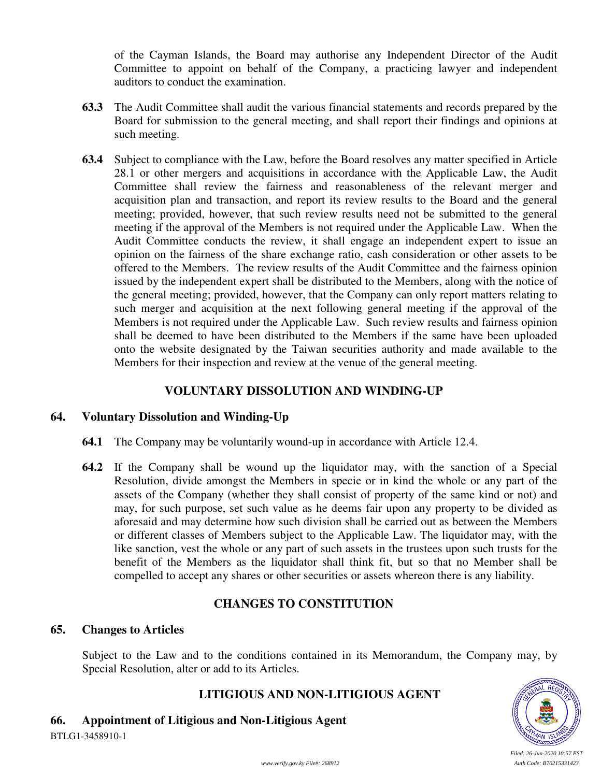of the Cayman Islands, the Board may authorise any Independent Director of the Audit Committee to appoint on behalf of the Company, a practicing lawyer and independent auditors to conduct the examination.

- **63.3** The Audit Committee shall audit the various financial statements and records prepared by the Board for submission to the general meeting, and shall report their findings and opinions at such meeting.
- **63.4** Subject to compliance with the Law, before the Board resolves any matter specified in Article 28.1 or other mergers and acquisitions in accordance with the Applicable Law, the Audit Committee shall review the fairness and reasonableness of the relevant merger and acquisition plan and transaction, and report its review results to the Board and the general meeting; provided, however, that such review results need not be submitted to the general meeting if the approval of the Members is not required under the Applicable Law. When the Audit Committee conducts the review, it shall engage an independent expert to issue an opinion on the fairness of the share exchange ratio, cash consideration or other assets to be offered to the Members. The review results of the Audit Committee and the fairness opinion issued by the independent expert shall be distributed to the Members, along with the notice of the general meeting; provided, however, that the Company can only report matters relating to such merger and acquisition at the next following general meeting if the approval of the Members is not required under the Applicable Law. Such review results and fairness opinion shall be deemed to have been distributed to the Members if the same have been uploaded onto the website designated by the Taiwan securities authority and made available to the Members for their inspection and review at the venue of the general meeting.

# **VOLUNTARY DISSOLUTION AND WINDING-UP**

# **64. Voluntary Dissolution and Winding-Up**

- **64.1** The Company may be voluntarily wound-up in accordance with Article 12.4.
- **64.2** If the Company shall be wound up the liquidator may, with the sanction of a Special Resolution, divide amongst the Members in specie or in kind the whole or any part of the assets of the Company (whether they shall consist of property of the same kind or not) and may, for such purpose, set such value as he deems fair upon any property to be divided as aforesaid and may determine how such division shall be carried out as between the Members or different classes of Members subject to the Applicable Law. The liquidator may, with the like sanction, vest the whole or any part of such assets in the trustees upon such trusts for the benefit of the Members as the liquidator shall think fit, but so that no Member shall be compelled to accept any shares or other securities or assets whereon there is any liability.

# **CHANGES TO CONSTITUTION**

#### **65. Changes to Articles**

Subject to the Law and to the conditions contained in its Memorandum, the Company may, by Special Resolution, alter or add to its Articles.

# **LITIGIOUS AND NON-LITIGIOUS AGENT**

BTLG1-3458910-1 **66. Appointment of Litigious and Non-Litigious Agent** 



*Filed: 26-Jun-2020 10:57 EST www.verify.gov.ky File#: 268912 Auth Code: B70215331423*